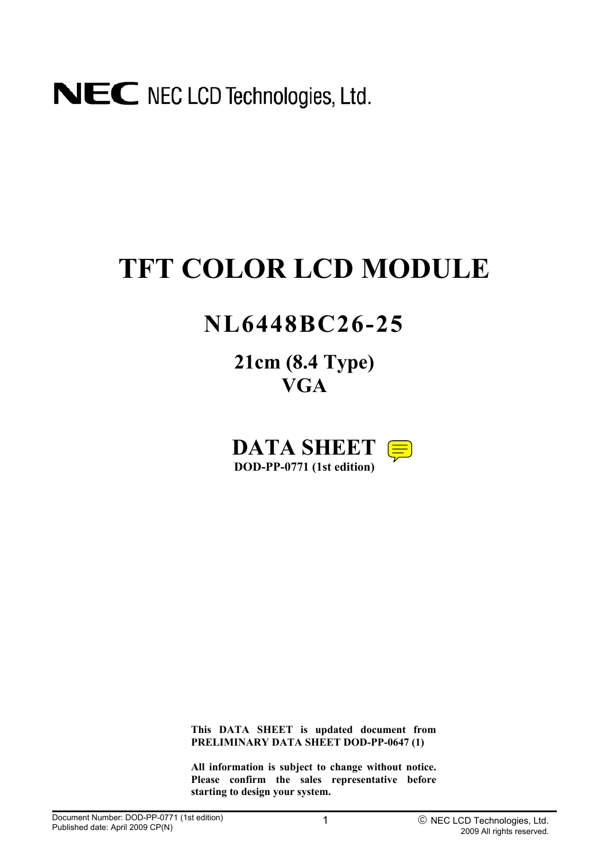# NEC NEC LCD Technologies, Ltd.

# **TFT COLOR LCD MODULE**

# **NL6448BC26-25**

**21cm (8.4 Type) VGA**

**DATA SHEET DOD-PP-0771 (1st edition)** 

**This DATA SHEET is updated document from PRELIMINARY DATA SHEET DOD-PP-0647 (1)** 

**All information is subject to change without notice. Please confirm the sales representative before starting to design your system.**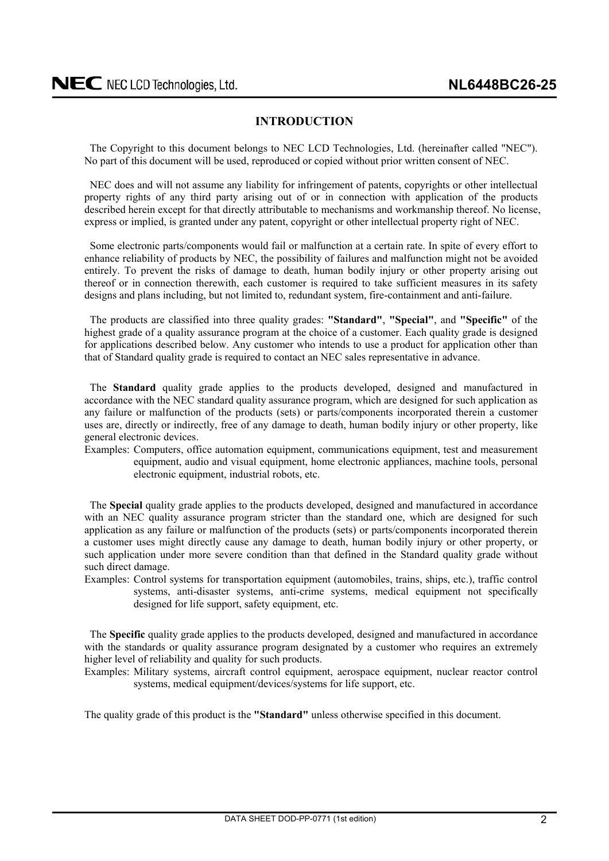### **INTRODUCTION**

<span id="page-1-0"></span>The Copyright to this document belongs to NEC LCD Technologies, Ltd. (hereinafter called "NEC"). No part of this document will be used, reproduced or copied without prior written consent of NEC.

NEC does and will not assume any liability for infringement of patents, copyrights or other intellectual property rights of any third party arising out of or in connection with application of the products described herein except for that directly attributable to mechanisms and workmanship thereof. No license, express or implied, is granted under any patent, copyright or other intellectual property right of NEC.

Some electronic parts/components would fail or malfunction at a certain rate. In spite of every effort to enhance reliability of products by NEC, the possibility of failures and malfunction might not be avoided entirely. To prevent the risks of damage to death, human bodily injury or other property arising out thereof or in connection therewith, each customer is required to take sufficient measures in its safety designs and plans including, but not limited to, redundant system, fire-containment and anti-failure.

The products are classified into three quality grades: **"Standard"**, **"Special"**, and **"Specific"** of the highest grade of a quality assurance program at the choice of a customer. Each quality grade is designed for applications described below. Any customer who intends to use a product for application other than that of Standard quality grade is required to contact an NEC sales representative in advance.

The **Standard** quality grade applies to the products developed, designed and manufactured in accordance with the NEC standard quality assurance program, which are designed for such application as any failure or malfunction of the products (sets) or parts/components incorporated therein a customer uses are, directly or indirectly, free of any damage to death, human bodily injury or other property, like general electronic devices.

Examples: Computers, office automation equipment, communications equipment, test and measurement equipment, audio and visual equipment, home electronic appliances, machine tools, personal electronic equipment, industrial robots, etc.

The **Special** quality grade applies to the products developed, designed and manufactured in accordance with an NEC quality assurance program stricter than the standard one, which are designed for such application as any failure or malfunction of the products (sets) or parts/components incorporated therein a customer uses might directly cause any damage to death, human bodily injury or other property, or such application under more severe condition than that defined in the Standard quality grade without such direct damage.

Examples: Control systems for transportation equipment (automobiles, trains, ships, etc.), traffic control systems, anti-disaster systems, anti-crime systems, medical equipment not specifically designed for life support, safety equipment, etc.

The **Specific** quality grade applies to the products developed, designed and manufactured in accordance with the standards or quality assurance program designated by a customer who requires an extremely higher level of reliability and quality for such products.

Examples: Military systems, aircraft control equipment, aerospace equipment, nuclear reactor control systems, medical equipment/devices/systems for life support, etc.

The quality grade of this product is the **"Standard"** unless otherwise specified in this document.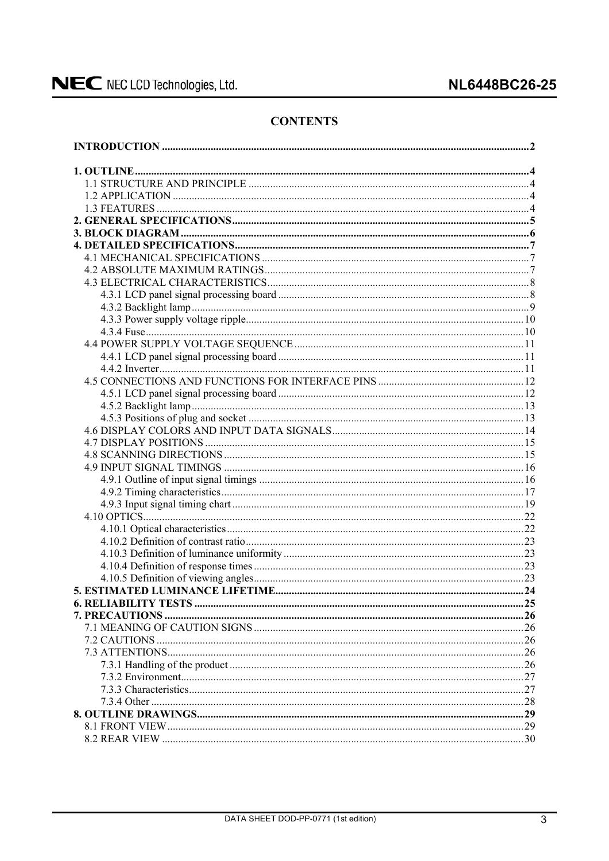### **CONTENTS**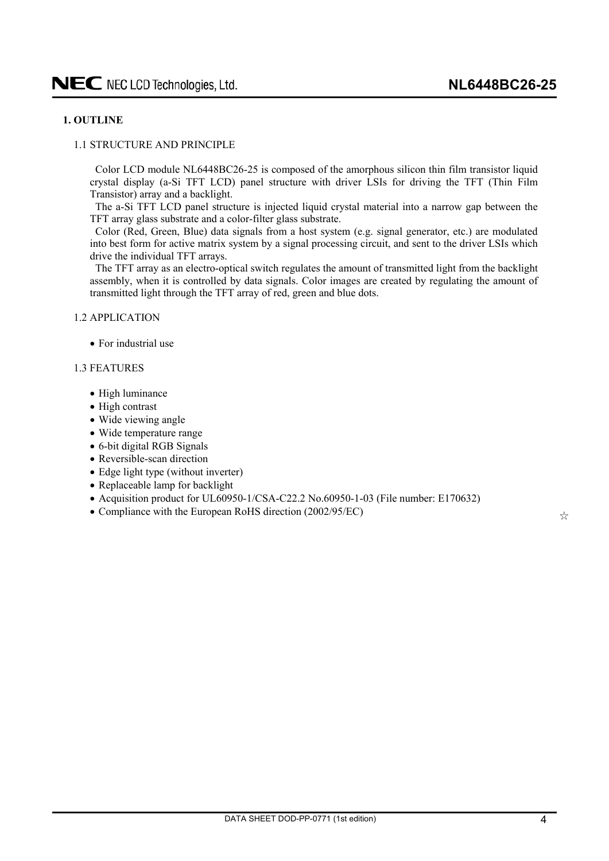### <span id="page-3-0"></span>**1. OUTLINE**

### 1.1 STRUCTURE AND PRINCIPLE

Color LCD module NL6448BC26-25 is composed of the amorphous silicon thin film transistor liquid crystal display (a-Si TFT LCD) panel structure with driver LSIs for driving the TFT (Thin Film Transistor) array and a backlight.

The a-Si TFT LCD panel structure is injected liquid crystal material into a narrow gap between the TFT array glass substrate and a color-filter glass substrate.

Color (Red, Green, Blue) data signals from a host system (e.g. signal generator, etc.) are modulated into best form for active matrix system by a signal processing circuit, and sent to the driver LSIs which drive the individual TFT arrays.

The TFT array as an electro-optical switch regulates the amount of transmitted light from the backlight assembly, when it is controlled by data signals. Color images are created by regulating the amount of transmitted light through the TFT array of red, green and blue dots.

1.2 APPLICATION

 $\bullet$  For industrial use

### 1.3 FEATURES

- High luminance
- High contrast
- Wide viewing angle
- Wide temperature range
- $\bullet$  6-bit digital RGB Signals
- Reversible-scan direction
- Edge light type (without inverter)
- Replaceable lamp for backlight
- Acquisition product for UL60950-1/CSA-C22.2 No.60950-1-03 (File number: E170632)
- Compliance with the European RoHS direction (2002/95/EC)  $\frac{1}{\sqrt{2}}$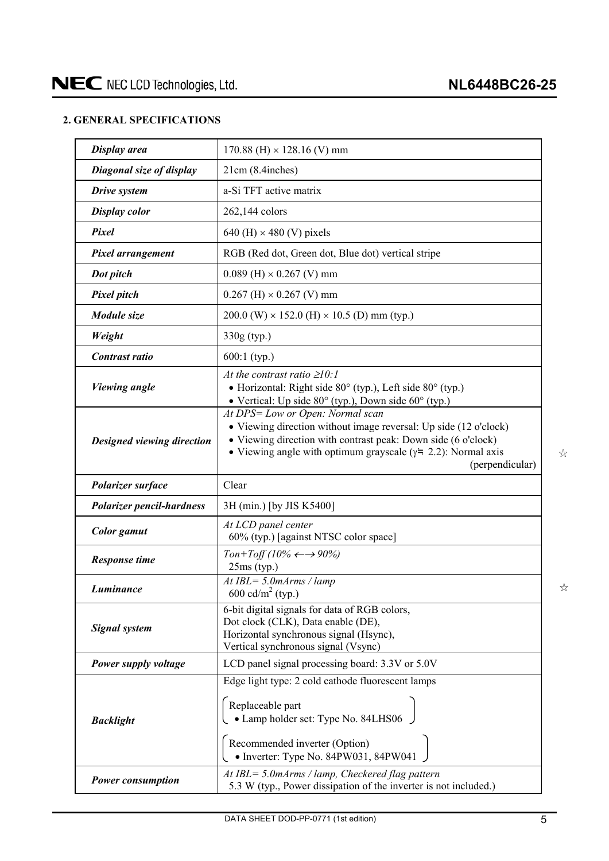### <span id="page-4-0"></span>**2. GENERAL SPECIFICATIONS**

| Display area                     | $170.88$ (H) $\times$ 128.16 (V) mm                                                                                                                                                                                                                               |
|----------------------------------|-------------------------------------------------------------------------------------------------------------------------------------------------------------------------------------------------------------------------------------------------------------------|
| Diagonal size of display         | 21cm (8.4inches)                                                                                                                                                                                                                                                  |
| Drive system                     | a-Si TFT active matrix                                                                                                                                                                                                                                            |
| <b>Display color</b>             | 262,144 colors                                                                                                                                                                                                                                                    |
| Pixel                            | 640 (H) $\times$ 480 (V) pixels                                                                                                                                                                                                                                   |
| Pixel arrangement                | RGB (Red dot, Green dot, Blue dot) vertical stripe                                                                                                                                                                                                                |
| Dot pitch                        | $0.089$ (H) $\times$ 0.267 (V) mm                                                                                                                                                                                                                                 |
| <b>Pixel pitch</b>               | $0.267$ (H) $\times$ 0.267 (V) mm                                                                                                                                                                                                                                 |
| Module size                      | $200.0$ (W) $\times$ 152.0 (H) $\times$ 10.5 (D) mm (typ.)                                                                                                                                                                                                        |
| Weight                           | 330g (typ.)                                                                                                                                                                                                                                                       |
| Contrast ratio                   | $600:1$ (typ.)                                                                                                                                                                                                                                                    |
| <b>Viewing angle</b>             | At the contrast ratio $\geq 10$ :<br>• Horizontal: Right side $80^\circ$ (typ.), Left side $80^\circ$ (typ.)<br>• Vertical: Up side $80^{\circ}$ (typ.), Down side $60^{\circ}$ (typ.)                                                                            |
| Designed viewing direction       | At DPS= Low or Open: Normal scan<br>• Viewing direction without image reversal: Up side (12 o'clock)<br>• Viewing direction with contrast peak: Down side (6 o'clock)<br>• Viewing angle with optimum grayscale ( $\gamma$ = 2.2): Normal axis<br>(perpendicular) |
| Polarizer surface                | Clear                                                                                                                                                                                                                                                             |
| <b>Polarizer pencil-hardness</b> | 3H (min.) [by JIS K5400]                                                                                                                                                                                                                                          |
| <b>Color</b> gamut               | At LCD panel center<br>60% (typ.) [against NTSC color space]                                                                                                                                                                                                      |
| <b>Response time</b>             | Ton+Toff (10% $\leftarrow \rightarrow 90\%$ )<br>$25ms$ (typ.)                                                                                                                                                                                                    |
| Luminance                        | At IBL= $5.0$ mArms / lamp<br>600 cd/m <sup>2</sup> (typ.)                                                                                                                                                                                                        |
| <b>Signal system</b>             | 6-bit digital signals for data of RGB colors,<br>Dot clock (CLK), Data enable (DE),<br>Horizontal synchronous signal (Hsync),<br>Vertical synchronous signal (Vsync)                                                                                              |
| Power supply voltage             | LCD panel signal processing board: 3.3V or 5.0V                                                                                                                                                                                                                   |
| <b>Backlight</b>                 | Edge light type: 2 cold cathode fluorescent lamps<br>Replaceable part<br>• Lamp holder set: Type No. 84LHS06<br>Recommended inverter (Option)<br>• Inverter: Type No. 84PW031, 84PW041                                                                            |
|                                  |                                                                                                                                                                                                                                                                   |

 $\gamma_{\rm M}^{\rm A}$ 

 $z^A$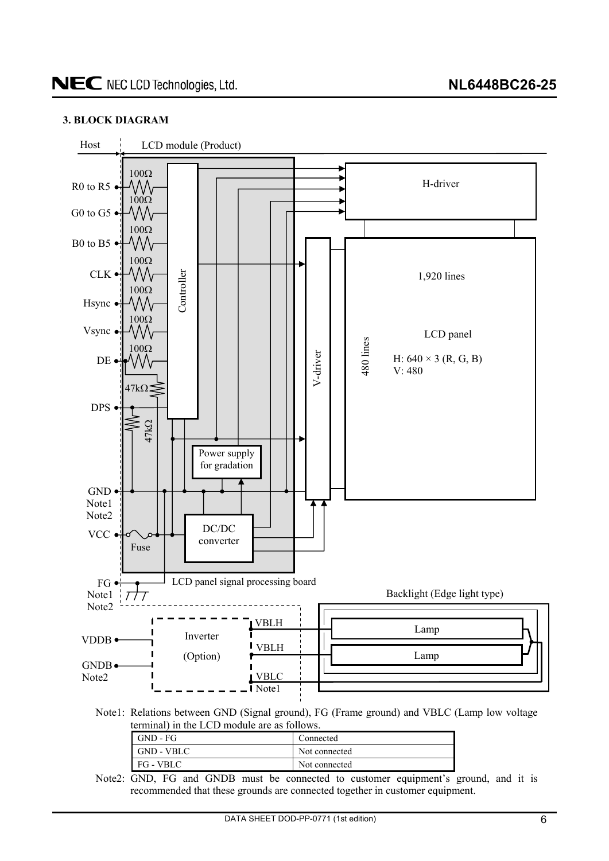### <span id="page-5-0"></span>**3. BLOCK DIAGRAM**



| GND - FG   | Connected     |
|------------|---------------|
| GND - VBLC | Not connected |
| FG - VBLC  | Not connected |

Note2: GND, FG and GNDB must be connected to customer equipment's ground, and it is recommended that these grounds are connected together in customer equipment.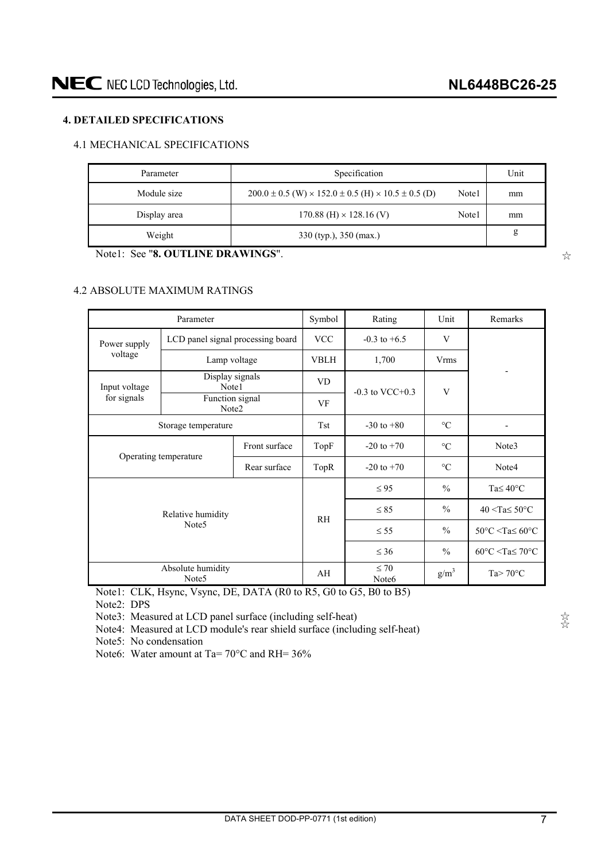### <span id="page-6-0"></span>**4. DETAILED SPECIFICATIONS**

### 4.1 MECHANICAL SPECIFICATIONS

| Parameter    | Specification                                                                |       | Unit |
|--------------|------------------------------------------------------------------------------|-------|------|
| Module size  | $200.0 \pm 0.5$ (W) $\times$ 152.0 $\pm$ 0.5 (H) $\times$ 10.5 $\pm$ 0.5 (D) | Note1 | mm   |
| Display area | $170.88$ (H) $\times$ 128.16 (V)                                             | Note1 | mm   |
| Weight       | 330 (typ.), 350 (max.)                                                       |       | g    |

Note1: See "**8. OUTLINE DRAWINGS**".

### 4.2 ABSOLUTE MAXIMUM RATINGS

|               | Parameter                              |              | Symbol         | Rating                         | Unit            | Remarks                                            |
|---------------|----------------------------------------|--------------|----------------|--------------------------------|-----------------|----------------------------------------------------|
| Power supply  | LCD panel signal processing board      |              | <b>VCC</b>     | $-0.3$ to $+6.5$               | V               |                                                    |
| voltage       | Lamp voltage                           |              | <b>VBLH</b>    | 1,700                          | <b>Vrms</b>     |                                                    |
| Input voltage | Display signals<br>Note1               |              | VD.            |                                |                 |                                                    |
| for signals   | Function signal<br>Note2               |              | VF             | $-0.3$ to VCC $+0.3$           | V               |                                                    |
|               | Storage temperature                    | <b>Tst</b>   | $-30$ to $+80$ | $\rm ^{\circ}C$                |                 |                                                    |
| Front surface |                                        |              | TopF           | $-20$ to $+70$                 | $\rm ^{\circ}C$ | Note3                                              |
|               | Operating temperature                  | Rear surface | TopR           | $-20$ to $+70$                 | $\rm ^{\circ}C$ | Note4                                              |
|               |                                        |              |                | $\leq 95$                      | $\frac{0}{0}$   | Ta $\leq 40^{\circ}$ C                             |
|               | Relative humidity                      |              | <b>RH</b>      | $\leq 85$                      | $\frac{0}{0}$   | $40 <$ Ta $\leq 50$ °C                             |
|               | Note <sub>5</sub>                      |              |                | $\leq$ 55                      | $\frac{0}{0}$   | $50^{\circ}$ C <ta<math>\leq 60^{\circ}C</ta<math> |
|               |                                        |              |                | $\leq 36$                      | $\frac{0}{0}$   | $60^{\circ}$ C <ta<math>\leq 70^{\circ}C</ta<math> |
|               | Absolute humidity<br>Note <sub>5</sub> |              | AH             | $\leq 70$<br>Note <sub>6</sub> | $g/m^3$         | Ta $> 70^{\circ}$ C                                |

Note1: CLK, Hsync, Vsync, DE, DATA (R0 to R5, G0 to G5, B0 to B5) Note2: DPS

Note3: Measured at LCD panel surface (including self-heat)

Note4: Measured at LCD module's rear shield surface (including self-heat)

Note5: No condensation

Note6: Water amount at Ta= 70°C and RH= 36%

ყ ყ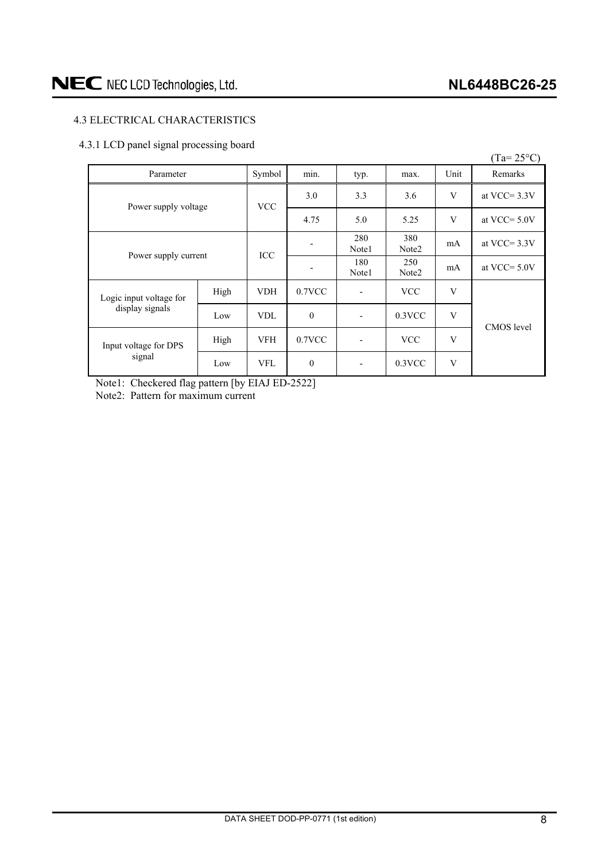### <span id="page-7-0"></span>4.3 ELECTRICAL CHARACTERISTICS

### 4.3.1 LCD panel signal processing board

|                                 |            |                          |              |                          |            |                | $(Ta=25^{\circ}C)$ |
|---------------------------------|------------|--------------------------|--------------|--------------------------|------------|----------------|--------------------|
| Parameter                       |            | Symbol                   | min.         | typ.                     | max.       | Unit           | Remarks            |
| Power supply voltage            | <b>VCC</b> | 3.0                      | 3.3          | 3.6                      | V          | at VCC= $3.3V$ |                    |
|                                 |            | 4.75                     | 5.0          | 5.25                     | V          | at VCC= $5.0V$ |                    |
| Power supply current            | <b>ICC</b> | $\overline{\phantom{a}}$ | 280<br>Note1 | 380<br>Note <sub>2</sub> | mA         | at VCC= $3.3V$ |                    |
|                                 |            | $\overline{\phantom{a}}$ | 180<br>Note1 | 250<br>Note <sub>2</sub> | mA         | at VCC= $5.0V$ |                    |
| Logic input voltage for         | High       | <b>VDH</b>               | $0.7$ VCC    |                          | <b>VCC</b> | V              |                    |
| display signals                 | Low        | <b>VDL</b>               | $\mathbf{0}$ | ٠                        | $0.3$ VCC  | V              | <b>CMOS</b> level  |
| Input voltage for DPS<br>signal | High       | <b>VFH</b>               | $0.7$ VCC    |                          | <b>VCC</b> | V              |                    |
|                                 | Low        | <b>VFL</b>               | $\mathbf{0}$ |                          | $0.3$ VCC  | V              |                    |

Note1: Checkered flag pattern [by EIAJ ED-2522] Note2: Pattern for maximum current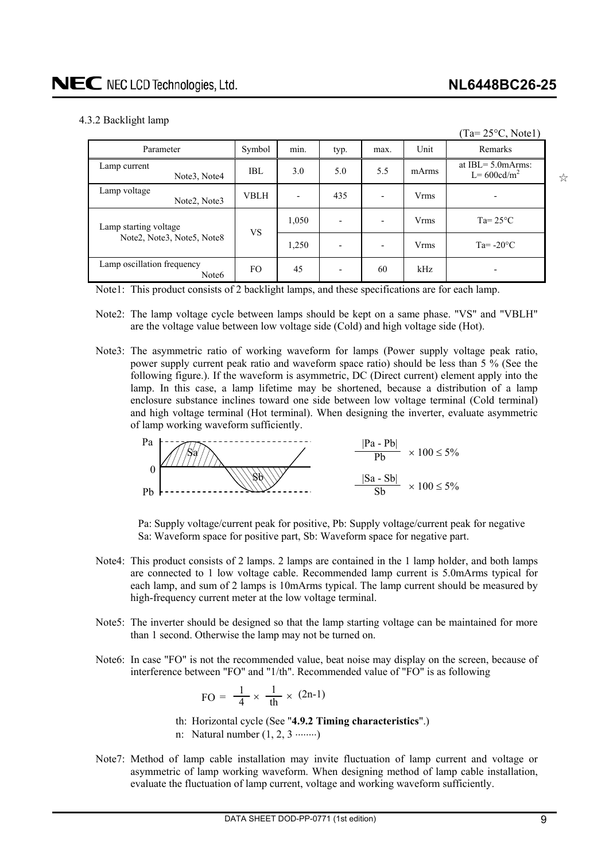### <span id="page-8-0"></span>4.3.2 Backlight lamp

|                                                       |             |       |                |      |             | $(Ta=25\text{°C}, Note1)$                |
|-------------------------------------------------------|-------------|-------|----------------|------|-------------|------------------------------------------|
| Parameter                                             | Symbol      | min.  | typ.           | max. | Unit        | Remarks                                  |
| Lamp current<br>Note <sub>3</sub> , Note <sub>4</sub> | IBL         | 3.0   | 5.0            | 5.5  | mArms       | at IBL $=$ 5.0 mArms:<br>$L = 600cd/m^2$ |
| Lamp voltage<br>Note <sub>2</sub> , Note <sub>3</sub> | <b>VBLH</b> |       | 435            |      | <b>Vrms</b> | $\overline{\phantom{a}}$                 |
| Lamp starting voltage                                 | <b>VS</b>   | 1,050 |                |      | <b>Vrms</b> | $Ta = 25^{\circ}C$                       |
| Note2, Note3, Note5, Note8                            |             | 1,250 | $\blacksquare$ |      | <b>Vrms</b> | $Ta = -20$ °C                            |
| Lamp oscillation frequency<br>Note <sub>6</sub>       | FO.         | 45    |                | 60   | kHz         |                                          |

Note1: This product consists of 2 backlight lamps, and these specifications are for each lamp.

- Note2: The lamp voltage cycle between lamps should be kept on a same phase. "VS" and "VBLH" are the voltage value between low voltage side (Cold) and high voltage side (Hot).
- Note3: The asymmetric ratio of working waveform for lamps (Power supply voltage peak ratio, power supply current peak ratio and waveform space ratio) should be less than 5 % (See the following figure.). If the waveform is asymmetric, DC (Direct current) element apply into the lamp. In this case, a lamp lifetime may be shortened, because a distribution of a lamp enclosure substance inclines toward one side between low voltage terminal (Cold terminal) and high voltage terminal (Hot terminal). When designing the inverter, evaluate asymmetric of lamp working waveform sufficiently.



Pa: Supply voltage/current peak for positive, Pb: Supply voltage/current peak for negative Sa: Waveform space for positive part, Sb: Waveform space for negative part.

- Note4: This product consists of 2 lamps. 2 lamps are contained in the 1 lamp holder, and both lamps are connected to 1 low voltage cable. Recommended lamp current is 5.0mArms typical for each lamp, and sum of 2 lamps is 10mArms typical. The lamp current should be measured by high-frequency current meter at the low voltage terminal.
- Note5: The inverter should be designed so that the lamp starting voltage can be maintained for more than 1 second. Otherwise the lamp may not be turned on.
- Note6: In case "FO" is not the recommended value, beat noise may display on the screen, because of interference between "FO" and "1/th". Recommended value of "FO" is as following

$$
FO = \frac{1}{4} \times \frac{1}{th} \times (2n-1)
$$

- th: Horizontal cycle (See "**4.9.2 Timing characteristics**".)
- n: Natural number  $(1, 2, 3 \dots)$
- Note7: Method of lamp cable installation may invite fluctuation of lamp current and voltage or asymmetric of lamp working waveform. When designing method of lamp cable installation, evaluate the fluctuation of lamp current, voltage and working waveform sufficiently.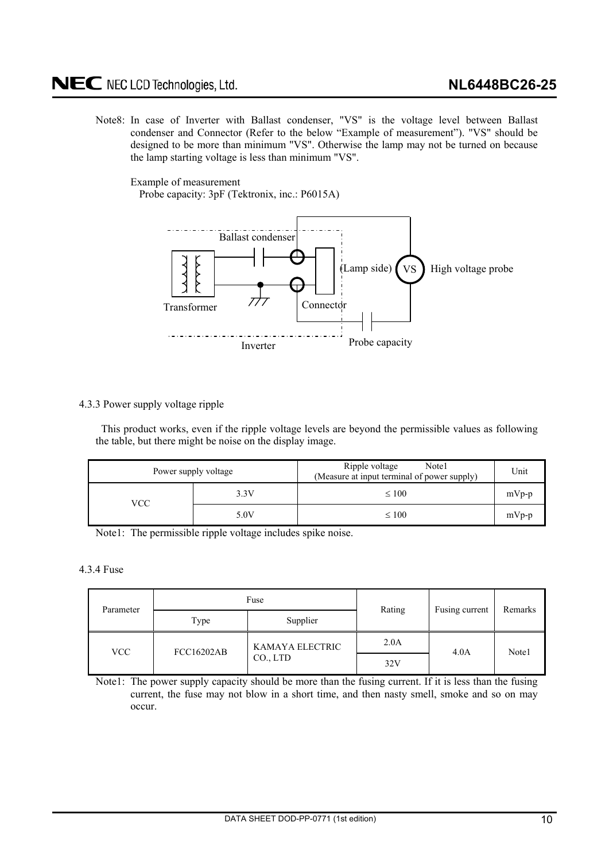### <span id="page-9-0"></span>NEC NEC LCD Technologies, Ltd.

Note8: In case of Inverter with Ballast condenser, "VS" is the voltage level between Ballast condenser and Connector (Refer to the below "Example of measurement"). "VS" should be designed to be more than minimum "VS". Otherwise the lamp may not be turned on because the lamp starting voltage is less than minimum "VS".

Example of measurement

Probe capacity: 3pF (Tektronix, inc.: P6015A)



### 4.3.3 Power supply voltage ripple

This product works, even if the ripple voltage levels are beyond the permissible values as following the table, but there might be noise on the display image.

|     | Power supply voltage | Ripple voltage<br>Note1<br>(Measure at input terminal of power supply) | Unit    |
|-----|----------------------|------------------------------------------------------------------------|---------|
| VCC | 3.3V                 | $\leq 100$                                                             | $mVp-p$ |
|     | 5.0V                 | $\leq 100$                                                             | $mVp-p$ |

Note1: The permissible ripple voltage includes spike noise.

### 4.3.4 Fuse

| Parameter |                   | Fuse            | Rating | Fusing current | Remarks |  |
|-----------|-------------------|-----------------|--------|----------------|---------|--|
|           | Type              | Supplier        |        |                |         |  |
| VCC       | <b>FCC16202AB</b> | KAMAYA ELECTRIC | 2.0A   | 4.0A           | Note1   |  |
|           |                   | $CO1$ LTD       | 32V    |                |         |  |

Note1: The power supply capacity should be more than the fusing current. If it is less than the fusing current, the fuse may not blow in a short time, and then nasty smell, smoke and so on may occur.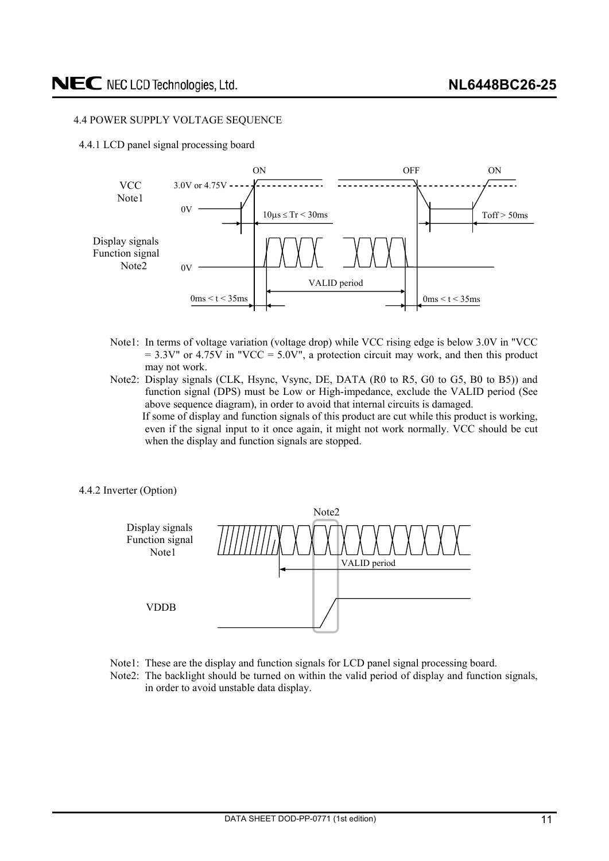### <span id="page-10-0"></span>4.4 POWER SUPPLY VOLTAGE SEQUENCE

4.4.1 LCD panel signal processing board



- Note1: In terms of voltage variation (voltage drop) while VCC rising edge is below 3.0V in "VCC  $= 3.3V''$  or 4.75V in "VCC = 5.0V", a protection circuit may work, and then this product may not work.
- Note2: Display signals (CLK, Hsync, Vsync, DE, DATA (R0 to R5, G0 to G5, B0 to B5)) and function signal (DPS) must be Low or High-impedance, exclude the VALID period (See above sequence diagram), in order to avoid that internal circuits is damaged. If some of display and function signals of this product are cut while this product is working, even if the signal input to it once again, it might not work normally. VCC should be cut when the display and function signals are stopped.
- 4.4.2 Inverter (Option)



- Note1: These are the display and function signals for LCD panel signal processing board.
- Note2: The backlight should be turned on within the valid period of display and function signals, in order to avoid unstable data display.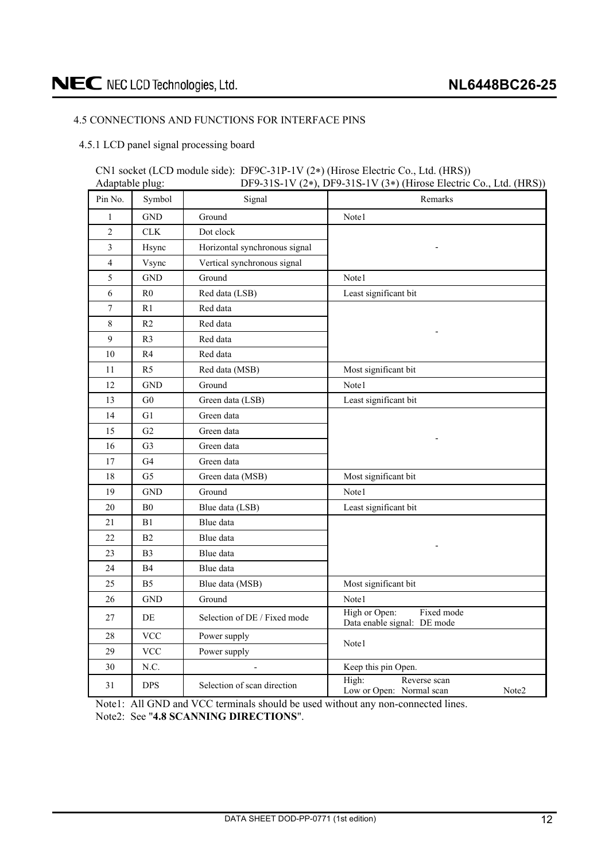### <span id="page-11-0"></span>4.5 CONNECTIONS AND FUNCTIONS FOR INTERFACE PINS

4.5.1 LCD panel signal processing board

#### CN1 socket (LCD module side): DF9C-31P-1V (2 ) (Hirose Electric Co., Ltd. (HRS)) Adaptable plug: DF9-31S-1V (2<sup>\*</sup>), DF9-31S-1V (3<sup>\*</sup>) (Hirose Electric Co., Ltd. (HRS))

| riappidore pragu |                |                               | $1.111080$ Electric Co., Eta. $(1110)$                     |
|------------------|----------------|-------------------------------|------------------------------------------------------------|
| Pin No.          | Symbol         | Signal                        | Remarks                                                    |
| $\mathbf{1}$     | <b>GND</b>     | Ground                        | Note1                                                      |
| $\sqrt{2}$       | CLK            | Dot clock                     |                                                            |
| $\overline{3}$   | Hsync          | Horizontal synchronous signal |                                                            |
| $\overline{4}$   | Vsync          | Vertical synchronous signal   |                                                            |
| 5                | <b>GND</b>     | Ground                        | Note1                                                      |
| 6                | R <sub>0</sub> | Red data (LSB)                | Least significant bit                                      |
| $\boldsymbol{7}$ | R1             | Red data                      |                                                            |
| $\,8\,$          | R <sub>2</sub> | Red data                      |                                                            |
| 9                | R <sub>3</sub> | Red data                      |                                                            |
| 10               | R4             | Red data                      |                                                            |
| 11               | R <sub>5</sub> | Red data (MSB)                | Most significant bit                                       |
| 12               | <b>GND</b>     | Ground                        | Note1                                                      |
| 13               | G <sub>0</sub> | Green data (LSB)              | Least significant bit                                      |
| 14               | G1             | Green data                    |                                                            |
| 15               | G2             | Green data                    |                                                            |
| 16               | G <sub>3</sub> | Green data                    |                                                            |
| $17\,$           | G4             | Green data                    |                                                            |
| 18               | G <sub>5</sub> | Green data (MSB)              | Most significant bit                                       |
| 19               | <b>GND</b>     | Ground                        | Note1                                                      |
| $20\,$           | ${\bf B0}$     | Blue data (LSB)               | Least significant bit                                      |
| 21               | B1             | Blue data                     |                                                            |
| 22               | B2             | Blue data                     |                                                            |
| 23               | B <sub>3</sub> | Blue data                     |                                                            |
| 24               | B4             | Blue data                     |                                                            |
| 25               | B <sub>5</sub> | Blue data (MSB)               | Most significant bit                                       |
| 26               | <b>GND</b>     | Ground                        | Note1                                                      |
| 27               | DE             | Selection of DE / Fixed mode  | High or Open:<br>Fixed mode<br>Data enable signal: DE mode |
| 28               | <b>VCC</b>     | Power supply                  | Note1                                                      |
| 29               | <b>VCC</b>     | Power supply                  |                                                            |
| 30               | N.C.           |                               | Keep this pin Open.                                        |
| 31               | <b>DPS</b>     | Selection of scan direction   | High:<br>Reverse scan<br>Low or Open: Normal scan<br>Note2 |

Note1: All GND and VCC terminals should be used without any non-connected lines. Note2: See "**4.8 SCANNING DIRECTIONS**".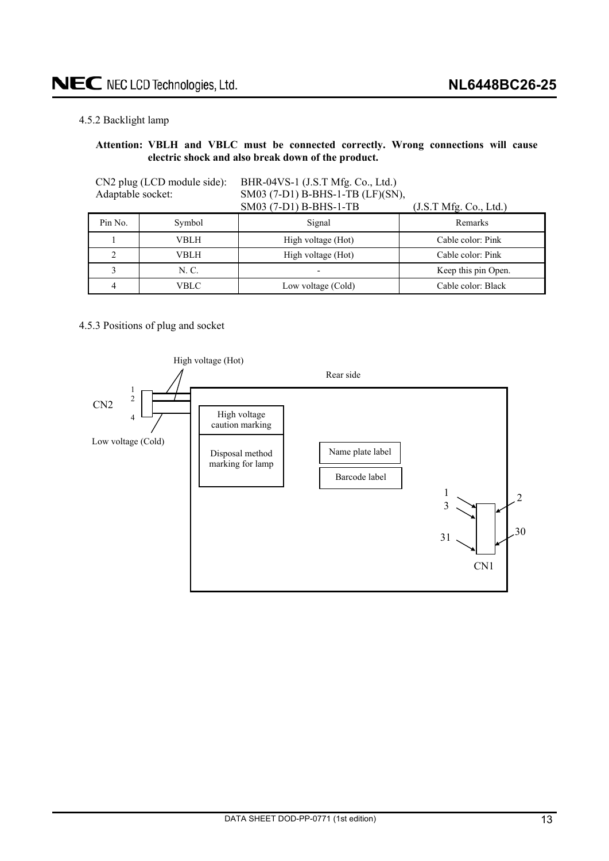### <span id="page-12-0"></span>4.5.2 Backlight lamp

### **Attention: VBLH and VBLC must be connected correctly. Wrong connections will cause electric shock and also break down of the product.**

| Adaptable socket: | CN2 plug (LCD module side): | BHR-04VS-1 (J.S.T Mfg. Co., Ltd.)<br>SM03 (7-D1) B-BHS-1-TB (LF)(SN),<br>SM03 (7-D1) B-BHS-1-TB | (J.S.T Mfg. Co., Ltd.) |
|-------------------|-----------------------------|-------------------------------------------------------------------------------------------------|------------------------|
| Pin No.           | Symbol                      | Signal                                                                                          | Remarks                |
|                   | VBLH                        | High voltage (Hot)                                                                              | Cable color: Pink      |
|                   | VBLH                        | High voltage (Hot)                                                                              | Cable color: Pink      |
|                   | N. C.                       |                                                                                                 | Keep this pin Open.    |
|                   | VBLC                        | Low voltage (Cold)                                                                              | Cable color: Black     |

### 4.5.3 Positions of plug and socket

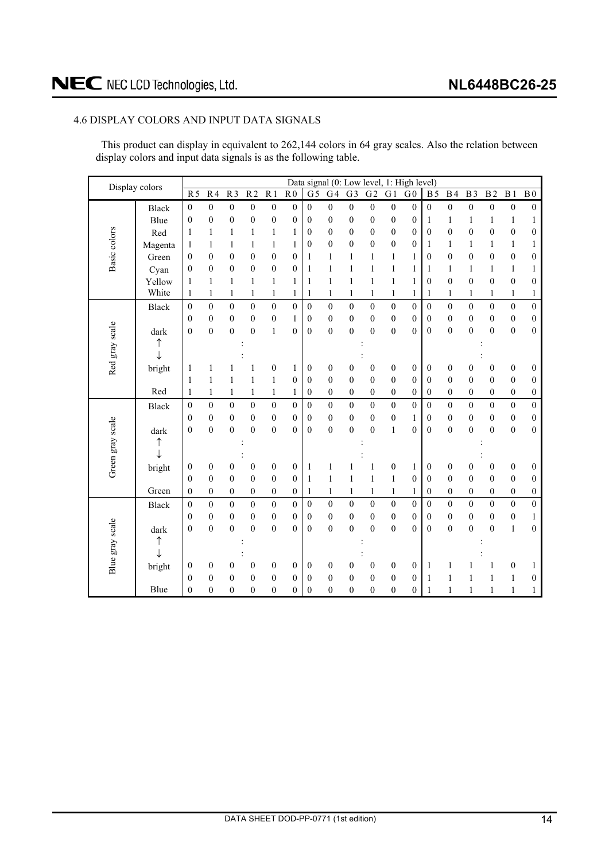### <span id="page-13-0"></span>4.6 DISPLAY COLORS AND INPUT DATA SIGNALS

This product can display in equivalent to 262,144 colors in 64 gray scales. Also the relation between display colors and input data signals is as the following table.

| Display colors   |              |                  |                  |                  |                  |                  |                  |                  |                  |                  |                  |                  | Data signal (0: Low level, 1: High level) |                  |                  |                  |                  |                  |                  |
|------------------|--------------|------------------|------------------|------------------|------------------|------------------|------------------|------------------|------------------|------------------|------------------|------------------|-------------------------------------------|------------------|------------------|------------------|------------------|------------------|------------------|
|                  |              | R <sub>5</sub>   | R <sub>4</sub>   | R <sub>3</sub>   | R <sub>2</sub>   | R <sub>1</sub>   | R <sub>0</sub>   | G <sub>5</sub>   | G4               | G <sub>3</sub>   | $G\overline{2}$  | G <sub>1</sub>   | G <sub>0</sub>                            | B <sub>5</sub>   | B <sub>4</sub>   | B <sub>3</sub>   | B <sub>2</sub>   | B <sub>1</sub>   | B <sub>0</sub>   |
|                  | Black        | $\mathbf{0}$     | $\boldsymbol{0}$ | $\boldsymbol{0}$ | $\mathbf{0}$     | $\boldsymbol{0}$ | $\boldsymbol{0}$ | $\boldsymbol{0}$ | $\boldsymbol{0}$ | $\boldsymbol{0}$ | $\boldsymbol{0}$ | $\boldsymbol{0}$ | $\boldsymbol{0}$                          | $\mathbf{0}$     | $\boldsymbol{0}$ | $\boldsymbol{0}$ | $\boldsymbol{0}$ | $\boldsymbol{0}$ | $\boldsymbol{0}$ |
|                  | Blue         | $\mathbf{0}$     | $\boldsymbol{0}$ | $\boldsymbol{0}$ | $\overline{0}$   | $\boldsymbol{0}$ | $\overline{0}$   | $\boldsymbol{0}$ | $\boldsymbol{0}$ | $\mathbf{0}$     | $\boldsymbol{0}$ | $\boldsymbol{0}$ | $\mathbf{0}$                              | 1                | $\mathbf{1}$     | 1                | 1                | $\mathbf{1}$     | $\mathbf{1}$     |
|                  | Red          | 1                | 1                | $\mathbf{1}$     | 1                | $\mathbf{1}$     | 1                | $\boldsymbol{0}$ | $\boldsymbol{0}$ | $\boldsymbol{0}$ | $\boldsymbol{0}$ | $\boldsymbol{0}$ | $\boldsymbol{0}$                          | $\boldsymbol{0}$ | $\boldsymbol{0}$ | $\boldsymbol{0}$ | $\boldsymbol{0}$ | $\boldsymbol{0}$ | $\boldsymbol{0}$ |
|                  | Magenta      | 1                | 1                | 1                | 1                | $\mathbf{1}$     | 1                | $\mathbf{0}$     | $\boldsymbol{0}$ | $\boldsymbol{0}$ | $\boldsymbol{0}$ | $\boldsymbol{0}$ | $\boldsymbol{0}$                          | 1                | $\mathbf{1}$     | 1                | 1                | $\mathbf{1}$     | $\mathbf{1}$     |
| Basic colors     | Green        | $\theta$         | $\boldsymbol{0}$ | $\boldsymbol{0}$ | 0                | $\boldsymbol{0}$ | 0                | 1                | $\mathbf{1}$     | 1                | 1                | 1                | 1                                         | $\boldsymbol{0}$ | 0                | 0                | $\boldsymbol{0}$ | $\boldsymbol{0}$ | 0                |
|                  | Cyan         | $\theta$         | $\boldsymbol{0}$ | $\boldsymbol{0}$ | 0                | $\boldsymbol{0}$ | $\boldsymbol{0}$ | 1                | $\mathbf{1}$     | 1                |                  | 1                | 1                                         | 1                | 1                | 1                | 1                | 1                | 1                |
|                  | Yellow       | 1                | $\mathbf{1}$     | $\mathbf{1}$     | 1                | $\mathbf{1}$     | 1                | 1                | $\mathbf{1}$     | 1                | 1                | 1                | 1                                         | $\mathbf{0}$     | $\boldsymbol{0}$ | $\mathbf{0}$     | $\mathbf{0}$     | $\boldsymbol{0}$ | $\boldsymbol{0}$ |
|                  | White        | 1                | $\mathbf{1}$     | 1                | $\mathbf{1}$     | $\mathbf{1}$     | 1                | 1                | 1                | 1                | 1                | $\mathbf{1}$     | 1                                         | 1                | $\mathbf{1}$     | 1                | $\mathbf{1}$     | $\mathbf{1}$     | $\mathbf{1}$     |
|                  | Black        | $\boldsymbol{0}$ | $\mathbf{0}$     | $\boldsymbol{0}$ | $\mathbf{0}$     | $\mathbf{0}$     | $\overline{0}$   | $\overline{0}$   | $\boldsymbol{0}$ | $\mathbf{0}$     | $\boldsymbol{0}$ | $\boldsymbol{0}$ | $\boldsymbol{0}$                          | $\boldsymbol{0}$ | $\boldsymbol{0}$ | $\mathbf{0}$     | $\boldsymbol{0}$ | $\boldsymbol{0}$ | $\overline{0}$   |
|                  |              | $\mathbf{0}$     | $\boldsymbol{0}$ | $\boldsymbol{0}$ | $\boldsymbol{0}$ | $\boldsymbol{0}$ | 1                | $\boldsymbol{0}$ | $\boldsymbol{0}$ | $\boldsymbol{0}$ | $\boldsymbol{0}$ | $\boldsymbol{0}$ | $\mathbf{0}$                              | $\boldsymbol{0}$ | $\boldsymbol{0}$ | $\boldsymbol{0}$ | $\boldsymbol{0}$ | $\boldsymbol{0}$ | $\boldsymbol{0}$ |
|                  | dark         | $\mathbf{0}$     | $\boldsymbol{0}$ | $\boldsymbol{0}$ | $\overline{0}$   | $\mathbf{1}$     | $\boldsymbol{0}$ | $\boldsymbol{0}$ | $\boldsymbol{0}$ | $\mathbf{0}$     | $\overline{0}$   | $\boldsymbol{0}$ | $\boldsymbol{0}$                          | $\boldsymbol{0}$ | $\boldsymbol{0}$ | $\overline{0}$   | $\overline{0}$   | $\boldsymbol{0}$ | $\boldsymbol{0}$ |
|                  | ↑            |                  |                  |                  |                  |                  |                  |                  |                  |                  |                  |                  |                                           |                  |                  |                  |                  |                  |                  |
|                  | ↓            |                  |                  |                  |                  |                  |                  |                  |                  |                  |                  |                  |                                           |                  |                  |                  |                  |                  |                  |
| Red gray scale   | bright       | 1                | 1                | 1                | 1                | $\boldsymbol{0}$ | 1                | $\boldsymbol{0}$ | $\boldsymbol{0}$ | 0                | 0                | $\boldsymbol{0}$ | $\boldsymbol{0}$                          | $\boldsymbol{0}$ | $\boldsymbol{0}$ | 0                | $\theta$         | $\boldsymbol{0}$ | $\boldsymbol{0}$ |
|                  |              | 1                | 1                | $\mathbf{1}$     | $\mathbf{1}$     | $\mathbf{1}$     | $\overline{0}$   | $\boldsymbol{0}$ | $\boldsymbol{0}$ | $\boldsymbol{0}$ | $\boldsymbol{0}$ | $\boldsymbol{0}$ | $\overline{0}$                            | $\boldsymbol{0}$ | $\boldsymbol{0}$ | $\mathbf{0}$     | $\overline{0}$   | $\boldsymbol{0}$ | $\boldsymbol{0}$ |
|                  | Red          | 1                | $\mathbf{1}$     | $\mathbf{1}$     | $\mathbf{1}$     | $\mathbf{1}$     | 1                | $\boldsymbol{0}$ | $\boldsymbol{0}$ | $\boldsymbol{0}$ | $\boldsymbol{0}$ | $\boldsymbol{0}$ | $\boldsymbol{0}$                          | $\boldsymbol{0}$ | $\boldsymbol{0}$ | $\boldsymbol{0}$ | $\boldsymbol{0}$ | $\boldsymbol{0}$ | $\boldsymbol{0}$ |
|                  | <b>Black</b> | $\mathbf{0}$     | $\boldsymbol{0}$ | $\boldsymbol{0}$ | $\mathbf{0}$     | $\boldsymbol{0}$ | $\overline{0}$   | $\boldsymbol{0}$ | $\boldsymbol{0}$ | $\mathbf{0}$     | $\boldsymbol{0}$ | $\mathbf{0}$     | $\boldsymbol{0}$                          | $\boldsymbol{0}$ | $\boldsymbol{0}$ | $\mathbf{0}$     | $\mathbf{0}$     | $\boldsymbol{0}$ | $\boldsymbol{0}$ |
|                  |              | $\theta$         | $\boldsymbol{0}$ | $\boldsymbol{0}$ | $\mathbf{0}$     | $\boldsymbol{0}$ | $\boldsymbol{0}$ | $\boldsymbol{0}$ | $\boldsymbol{0}$ | $\boldsymbol{0}$ | $\boldsymbol{0}$ | $\boldsymbol{0}$ | 1                                         | $\boldsymbol{0}$ | $\boldsymbol{0}$ | $\boldsymbol{0}$ | $\boldsymbol{0}$ | $\boldsymbol{0}$ | $\boldsymbol{0}$ |
|                  | dark         | $\theta$         | $\boldsymbol{0}$ | $\theta$         | $\theta$         | $\boldsymbol{0}$ | 0                | $\theta$         | $\mathbf{0}$     | $\theta$         | $\mathbf{0}$     | $\mathbf{1}$     | $\theta$                                  | $\mathbf{0}$     | $\overline{0}$   | $\theta$         | $\theta$         | $\mathbf{0}$     | $\boldsymbol{0}$ |
|                  | ↑            |                  |                  |                  |                  |                  |                  |                  |                  |                  |                  |                  |                                           |                  |                  |                  |                  |                  |                  |
| Green gray scale |              |                  |                  |                  |                  |                  |                  |                  |                  |                  |                  |                  |                                           |                  |                  |                  |                  |                  |                  |
|                  | bright       | $\boldsymbol{0}$ | $\boldsymbol{0}$ | $\boldsymbol{0}$ | $\boldsymbol{0}$ | $\boldsymbol{0}$ | $\boldsymbol{0}$ | 1                | 1                | 1                | 1                | $\boldsymbol{0}$ | 1                                         | $\boldsymbol{0}$ | $\boldsymbol{0}$ | 0                | $\boldsymbol{0}$ | $\boldsymbol{0}$ | $\boldsymbol{0}$ |
|                  |              | $\theta$         | $\mathbf{0}$     | $\boldsymbol{0}$ | $\boldsymbol{0}$ | $\boldsymbol{0}$ | $\boldsymbol{0}$ | 1                | $\mathbf{1}$     | 1                | 1                | $\mathbf{1}$     | $\mathbf{0}$                              | $\boldsymbol{0}$ | $\boldsymbol{0}$ | $\mathbf{0}$     | $\mathbf{0}$     | $\boldsymbol{0}$ | $\boldsymbol{0}$ |
|                  | Green        | $\mathbf{0}$     | $\boldsymbol{0}$ | $\boldsymbol{0}$ | 0                | $\boldsymbol{0}$ | 0                | 1                | 1                | 1                | 1                | $\mathbf{1}$     | 1                                         | $\boldsymbol{0}$ | $\boldsymbol{0}$ | $\boldsymbol{0}$ | $\boldsymbol{0}$ | $\boldsymbol{0}$ | $\boldsymbol{0}$ |
|                  | Black        | $\mathbf{0}$     | $\boldsymbol{0}$ | $\boldsymbol{0}$ | $\mathbf{0}$     | $\boldsymbol{0}$ | $\boldsymbol{0}$ | $\mathbf{0}$     | $\boldsymbol{0}$ | $\mathbf{0}$     | $\boldsymbol{0}$ | $\boldsymbol{0}$ | $\boldsymbol{0}$                          | $\boldsymbol{0}$ | $\boldsymbol{0}$ | $\mathbf{0}$     | $\boldsymbol{0}$ | $\boldsymbol{0}$ | $\boldsymbol{0}$ |
|                  |              | $\theta$         | $\boldsymbol{0}$ | $\boldsymbol{0}$ | $\boldsymbol{0}$ | $\boldsymbol{0}$ | $\mathbf{0}$     | $\boldsymbol{0}$ | $\boldsymbol{0}$ | $\boldsymbol{0}$ | $\boldsymbol{0}$ | $\boldsymbol{0}$ | $\boldsymbol{0}$                          | $\boldsymbol{0}$ | $\boldsymbol{0}$ | $\mathbf{0}$     | $\mathbf{0}$     | $\boldsymbol{0}$ | 1                |
|                  | dark         | $\mathbf{0}$     | $\boldsymbol{0}$ | $\overline{0}$   | $\overline{0}$   | $\overline{0}$   | 0                | $\overline{0}$   | $\mathbf{0}$     | $\overline{0}$   | $\overline{0}$   | $\boldsymbol{0}$ | $\mathbf{0}$                              | $\mathbf{0}$     | $\overline{0}$   | $\overline{0}$   | $\overline{0}$   | $\mathbf{1}$     | $\boldsymbol{0}$ |
|                  | ↑            |                  |                  |                  |                  |                  |                  |                  |                  |                  |                  |                  |                                           |                  |                  |                  |                  |                  |                  |
|                  | ↓            |                  |                  |                  |                  |                  |                  |                  |                  |                  |                  |                  |                                           |                  |                  |                  |                  |                  |                  |
| Blue gray scale  | bright       | $\mathbf{0}$     | $\boldsymbol{0}$ | 0                | 0                | $\boldsymbol{0}$ | 0                | $\boldsymbol{0}$ | $\boldsymbol{0}$ | 0                | 0                | $\boldsymbol{0}$ | $\boldsymbol{0}$                          | 1                | 1                | 1                | 1                | $\boldsymbol{0}$ | 1                |
|                  |              | $\theta$         | $\boldsymbol{0}$ | 0                | 0                | $\boldsymbol{0}$ | 0                | $\theta$         | $\boldsymbol{0}$ | $\boldsymbol{0}$ | 0                | $\boldsymbol{0}$ | $\mathbf{0}$                              | 1                | 1                | 1                | 1                | 1                | 0                |
|                  | Blue         | $\overline{0}$   | $\mathbf{0}$     | $\mathbf{0}$     | $\overline{0}$   | $\mathbf{0}$     | 0                | $\overline{0}$   | $\overline{0}$   | $\mathbf{0}$     | $\overline{0}$   | $\boldsymbol{0}$ | $\mathbf{0}$                              | 1                | $\mathbf{1}$     | 1                | $\mathbf{1}$     | 1                | 1                |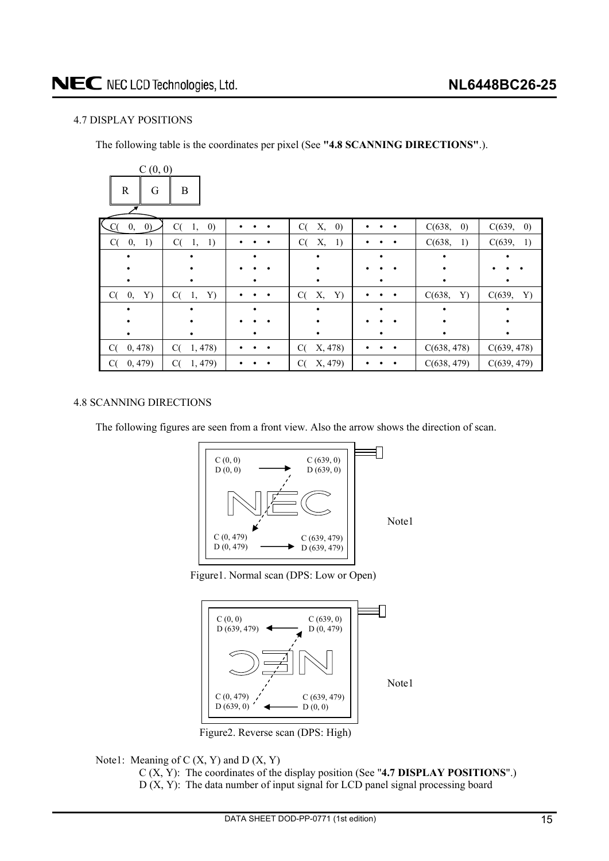### <span id="page-14-0"></span>4.7 DISPLAY POSITIONS

The following table is the coordinates per pixel (See **"4.8 SCANNING DIRECTIONS"**.).

| C(0, 0)        |                               |           |                               |   |                             |              |
|----------------|-------------------------------|-----------|-------------------------------|---|-----------------------------|--------------|
| R<br>G         | B                             |           |                               |   |                             |              |
| 0, 0)<br>C(    | C(<br>$\left( 0\right)$<br>1, |           | $\left( 0\right)$<br>C(<br>Х, |   | $\left( 0\right)$<br>C(638, | C(639, 0)    |
| C(<br>0,<br>1) | C(<br>-1)<br>1,               |           | C(<br>Χ,<br>1)                |   | C(638,<br>1)                | C(639, 1)    |
|                |                               |           |                               | ٠ |                             |              |
|                |                               |           |                               |   |                             |              |
|                |                               |           |                               |   |                             |              |
| 0,<br>C(<br>Y) | C(<br>1,<br>Y)                | $\bullet$ | Х,<br>Y)<br>C(                |   | Y)<br>C(638,                | C(639,<br>Y) |
|                |                               |           |                               | ٠ |                             |              |
|                |                               |           |                               |   |                             |              |
|                |                               |           |                               | ٠ |                             | ٠            |
| 0,478<br>C(    | 1,478<br>C(                   |           | X, 478)<br>C(                 |   | C(638, 478)                 | C(639, 478)  |
| 0, 479)<br>C(  | C(<br>1,479)                  |           | C(<br>X, 479)                 |   | C(638, 479)                 | C(639, 479)  |

### 4.8 SCANNING DIRECTIONS

The following figures are seen from a front view. Also the arrow shows the direction of scan.



Figure1. Normal scan (DPS: Low or Open)



Figure2. Reverse scan (DPS: High)

Note1: Meaning of  $C(X, Y)$  and  $D(X, Y)$ 

C (X, Y): The coordinates of the display position (See "**4.7 DISPLAY POSITIONS**".) D (X, Y): The data number of input signal for LCD panel signal processing board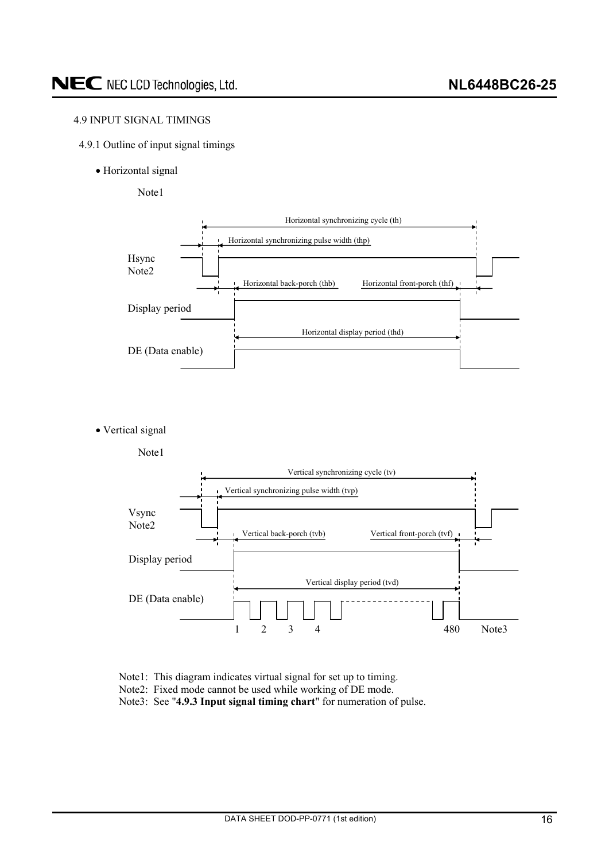### <span id="page-15-0"></span>4.9 INPUT SIGNAL TIMINGS

- 4.9.1 Outline of input signal timings
	- Horizontal signal

Note1



• Vertical signal



- Note1: This diagram indicates virtual signal for set up to timing.
- Note2: Fixed mode cannot be used while working of DE mode.
- Note3: See "**4.9.3 Input signal timing chart**" for numeration of pulse.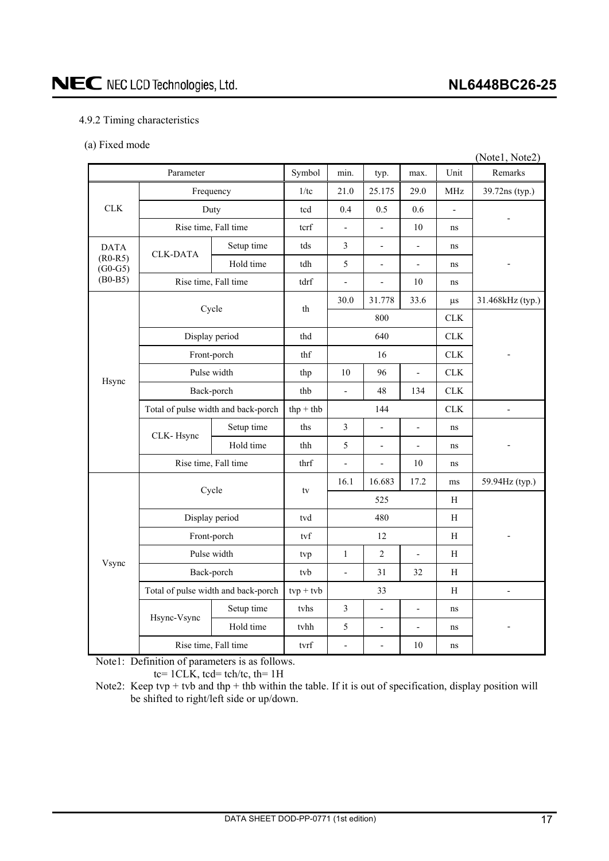## <span id="page-16-0"></span>NEC NEC LCD Technologies, Ltd.

### **NL6448BC26-25**

### 4.9.2 Timing characteristics

(a) Fixed mode

|                        |                                     |                                     |             |                          |                          |                          |                | (Notel, Note2)   |
|------------------------|-------------------------------------|-------------------------------------|-------------|--------------------------|--------------------------|--------------------------|----------------|------------------|
|                        | Parameter                           |                                     | Symbol      | min.                     | typ.                     | max.                     | Unit           | Remarks          |
|                        | Frequency                           |                                     | 1/tc        | 21.0                     | 25.175                   | 29.0                     | <b>MHz</b>     | 39.72ns (typ.)   |
| <b>CLK</b>             | Duty                                |                                     | tcd         | 0.4                      | 0.5                      | 0.6                      | $\overline{a}$ |                  |
|                        | Rise time, Fall time                |                                     | terf        | $\overline{\phantom{0}}$ | $\overline{a}$           | 10                       | ns             |                  |
| <b>DATA</b>            | <b>CLK-DATA</b>                     | Setup time                          | tds         | $\mathfrak{Z}$           | $\frac{1}{2}$            | $\overline{a}$           | ns             |                  |
| $(R0-R5)$<br>$(G0-G5)$ |                                     | Hold time                           | tdh         | 5                        | $\overline{\phantom{a}}$ | $\blacksquare$           | ns             |                  |
| $(B0-B5)$              |                                     | Rise time, Fall time                | tdrf        | $\overline{a}$           | $\overline{a}$           | 10                       | ns             |                  |
|                        | Cycle                               |                                     | th          | 30.0                     | 31.778                   | 33.6                     | $\mu s$        | 31.468kHz (typ.) |
|                        |                                     |                                     |             |                          | 800                      |                          | CLK            |                  |
|                        | Display period                      |                                     | thd         |                          | 640                      |                          | CLK            |                  |
| Hsync                  | Front-porch                         |                                     | thf         |                          | 16                       |                          | CLK            |                  |
|                        | Pulse width                         |                                     | thp         | 10                       | 96                       | $\frac{1}{2}$            | CLK            |                  |
|                        | Back-porch                          |                                     | thb         | $\overline{\phantom{a}}$ | 48                       | 134                      | CLK            |                  |
|                        | Total of pulse width and back-porch |                                     | $thp + thb$ |                          | 144                      |                          | CLK            | $\overline{a}$   |
|                        | CLK-Hsync                           | Setup time                          | ths         | $\mathfrak{Z}$           | $\overline{a}$           | $\overline{a}$           | ns             |                  |
|                        |                                     | Hold time                           | thh         | 5                        | $\overline{\phantom{a}}$ | $\overline{a}$           | ns             |                  |
|                        | Rise time, Fall time                |                                     | thrf        | $\overline{a}$           | $\overline{a}$           | 10                       | ns             |                  |
|                        | Cycle                               |                                     |             | 16.1                     | 16.683                   | 17.2                     | ms             | 59.94Hz (typ.)   |
|                        |                                     |                                     | tv          |                          | 525                      |                          | H              |                  |
|                        | Display period                      |                                     | tvd         | 480                      |                          |                          | H              |                  |
|                        | Front-porch                         |                                     | tvf         |                          | 12                       |                          | H              |                  |
|                        |                                     | Pulse width                         |             | $\mathbf{1}$             | $\overline{2}$           | $\frac{1}{2}$            | H              |                  |
| Vsync                  | Back-porch                          |                                     | tvb         | $\blacksquare$           | 31                       | 32                       | H              |                  |
|                        |                                     | Total of pulse width and back-porch | $typ + tvb$ |                          | 33                       |                          | H              | $\overline{a}$   |
|                        |                                     | Setup time                          | tvhs        | $\mathfrak{Z}$           | $\overline{a}$           | $\overline{a}$           | ns             |                  |
|                        | Hsync-Vsync                         | Hold time                           | tvhh        | $\sqrt{5}$               | $\frac{1}{2}$            | $\overline{\phantom{0}}$ | ns             |                  |
|                        | Rise time, Fall time                |                                     | tvrf        | $\frac{1}{2}$            | $\overline{a}$           | 10                       | ns             |                  |

Note1: Definition of parameters is as follows.

tc=  $1CLK$ , tcd= tch/tc, th=  $1H$ 

Note2: Keep tvp + tvb and thp + thb within the table. If it is out of specification, display position will be shifted to right/left side or up/down.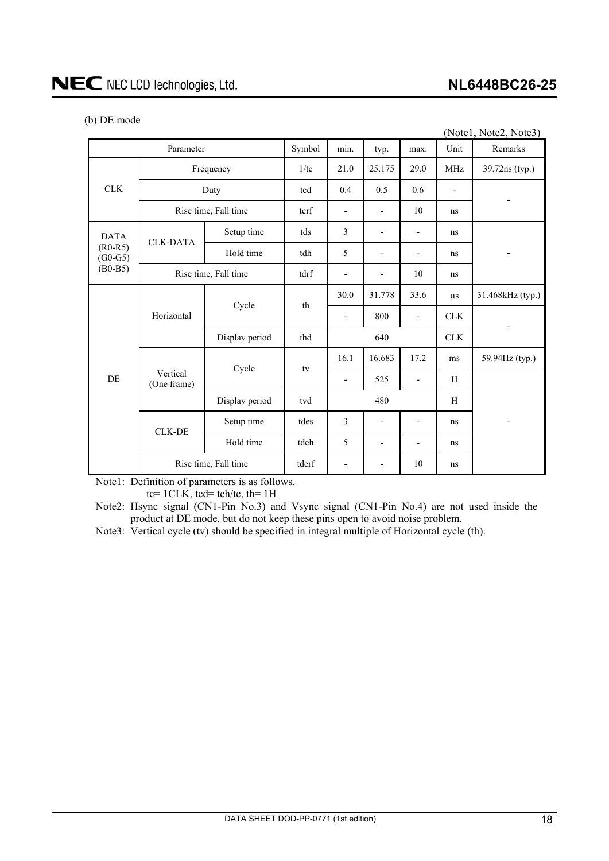| (b) DE mode |
|-------------|
|-------------|

|                                                    |                         |                      |        |                          |                          |                          |            | (Notel, Note2, Note3)    |  |
|----------------------------------------------------|-------------------------|----------------------|--------|--------------------------|--------------------------|--------------------------|------------|--------------------------|--|
| Parameter                                          |                         |                      | Symbol | min.                     | typ.                     | max.                     | Unit       | Remarks                  |  |
| CLK                                                | Frequency               |                      | 1/tc   | 21.0                     | 25.175                   | 29.0                     | <b>MHz</b> | 39.72ns (typ.)           |  |
|                                                    |                         | Duty                 | tcd    | 0.4                      | 0.5                      | 0.6                      |            |                          |  |
|                                                    | Rise time, Fall time    |                      | tcrf   | $\overline{\phantom{a}}$ |                          | 10                       | ns         |                          |  |
| <b>DATA</b><br>$(R0-R5)$<br>$(G0-G5)$<br>$(B0-B5)$ |                         | Setup time           | tds    | 3                        |                          |                          | ns         |                          |  |
|                                                    | <b>CLK-DATA</b>         | Hold time            | tdh    | 5                        | -                        | -                        | ns         |                          |  |
|                                                    | Rise time, Fall time    |                      | tdrf   |                          |                          | 10                       | ns         |                          |  |
| <b>DE</b>                                          | Horizontal              | Cycle                | th     | 30.0                     | 31.778                   | 33.6                     | $\mu s$    | 31.468kHz (typ.)         |  |
|                                                    |                         |                      |        |                          | 800                      |                          | <b>CLK</b> |                          |  |
|                                                    |                         | Display period       | thd    |                          | 640                      |                          | <b>CLK</b> |                          |  |
|                                                    |                         | Cycle                | tv     | 16.1                     | 16.683                   | 17.2                     | ms         | 59.94Hz (typ.)           |  |
|                                                    | Vertical<br>(One frame) |                      |        | $\overline{\phantom{a}}$ | 525                      | $\overline{\phantom{a}}$ | H          |                          |  |
|                                                    |                         | Display period       | tvd    |                          | 480                      |                          | H          |                          |  |
|                                                    |                         | Setup time           | tdes   | 3                        | $\overline{\phantom{a}}$ | $\overline{\phantom{a}}$ | ns         | $\overline{\phantom{a}}$ |  |
|                                                    | <b>CLK-DE</b>           | Hold time            | tdeh   | 5                        |                          |                          | ns         |                          |  |
|                                                    |                         | Rise time, Fall time | tderf  | $\overline{\phantom{a}}$ | -                        | 10                       | ns         |                          |  |

Note1: Definition of parameters is as follows.

tc=  $1CLK$ , tcd= tch/tc, th=  $1H$ 

Note2: Hsync signal (CN1-Pin No.3) and Vsync signal (CN1-Pin No.4) are not used inside the product at DE mode, but do not keep these pins open to avoid noise problem.

Note3: Vertical cycle (tv) should be specified in integral multiple of Horizontal cycle (th).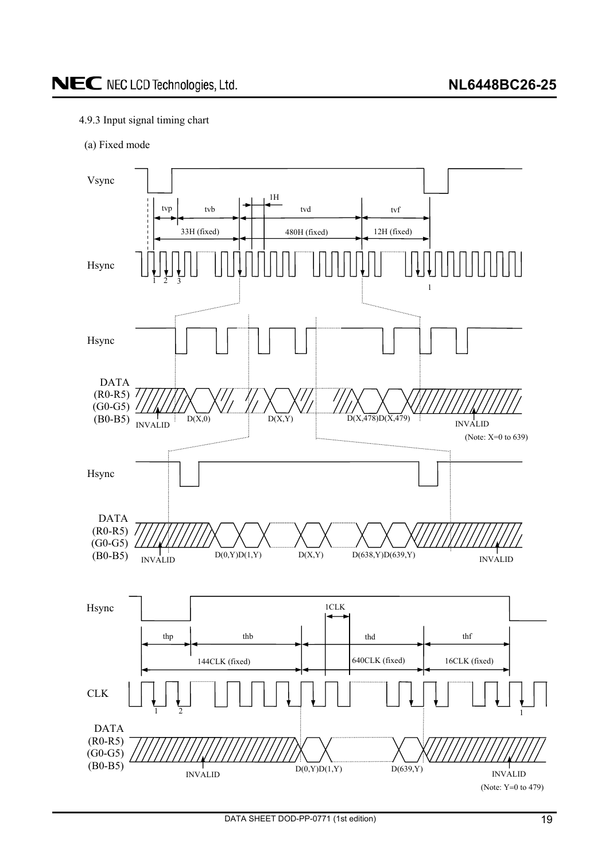### <span id="page-18-0"></span>4.9.3 Input signal timing chart

(a) Fixed mode

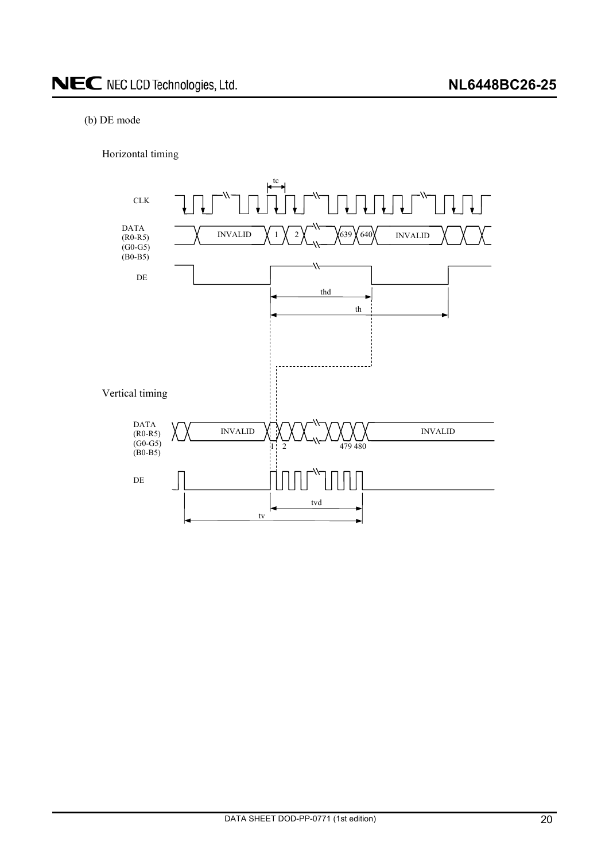### (b) DE mode

Horizontal timing

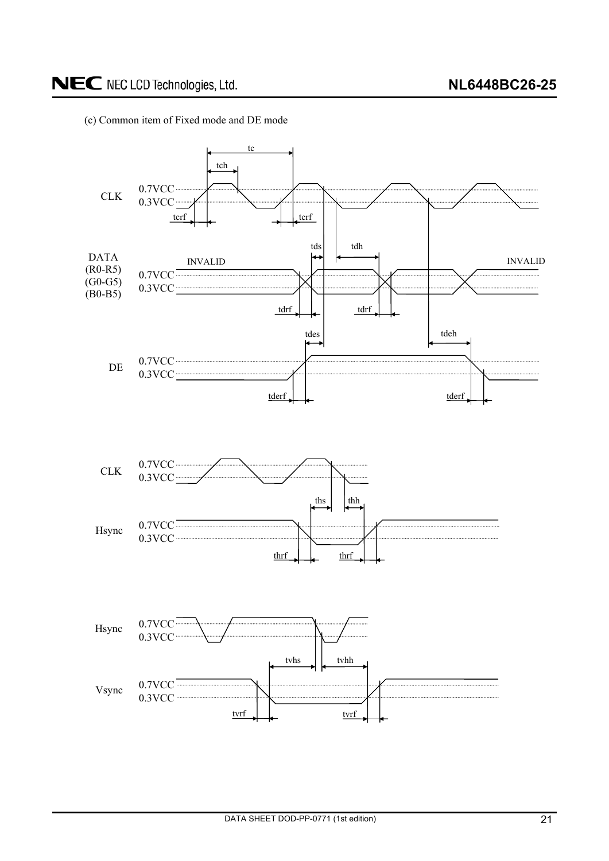

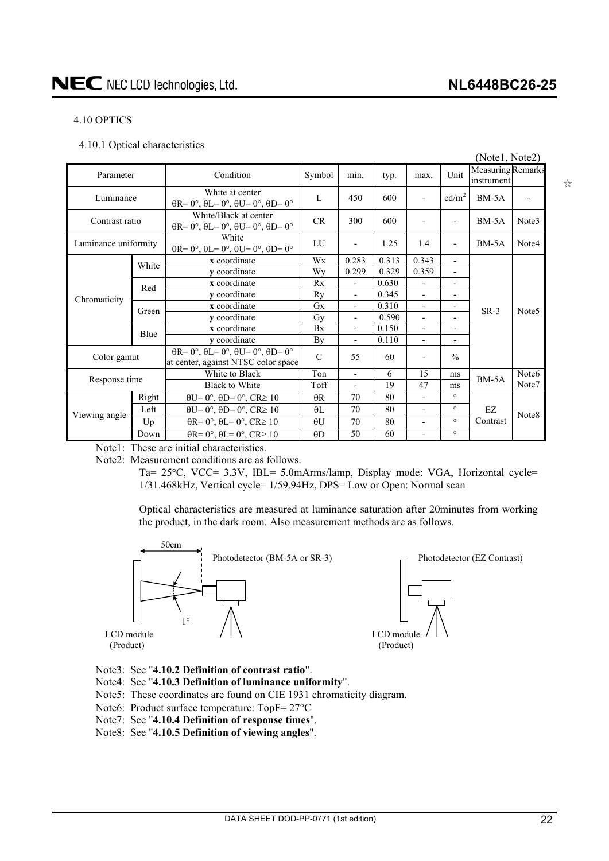### <span id="page-21-0"></span>4.10 OPTICS

4.10.1 Optical characteristics

|                      |       |                                                                                                       |               |                          |       |                          |                          | (Notel, Note2)                         |                   |
|----------------------|-------|-------------------------------------------------------------------------------------------------------|---------------|--------------------------|-------|--------------------------|--------------------------|----------------------------------------|-------------------|
| Parameter            |       | Condition                                                                                             | Symbol        | min.                     | typ.  | max.                     | Unit                     | <b>Measuring Remarks</b><br>instrument |                   |
| Luminance            |       | White at center<br>$\theta$ R= 0°, $\theta$ L= 0°, $\theta$ U= 0°, $\theta$ D= 0°                     | $\mathbf{L}$  | 450                      | 600   | $\overline{a}$           | $\text{cd/m}^2$          | $BM-5A$                                |                   |
| Contrast ratio       |       | White/Black at center<br>$\theta$ R= 0°, $\theta$ L= 0°, $\theta$ U= 0°, $\theta$ D= 0°               | CR            | 300                      | 600   | $\overline{\phantom{a}}$ | $\overline{a}$           | $BM-5A$                                | Note3             |
| Luminance uniformity |       | White<br>$\theta$ R= 0°, $\theta$ L= 0°, $\theta$ U= 0°, $\theta$ D= 0°                               | LU            |                          | 1.25  | 1.4                      | $\overline{\phantom{0}}$ | $BM-5A$                                | Note4             |
|                      | White | x coordinate                                                                                          | Wx            | 0.283                    | 0.313 | 0.343                    | $\blacksquare$           |                                        |                   |
|                      |       | y coordinate                                                                                          | Wy            | 0.299                    | 0.329 | 0.359                    | $\overline{\phantom{0}}$ |                                        | Note <sub>5</sub> |
|                      | Red   | x coordinate                                                                                          | Rx            | $\overline{\phantom{0}}$ | 0.630 | $\overline{\phantom{a}}$ | $\overline{a}$           |                                        |                   |
| Chromaticity         |       | y coordinate                                                                                          | Ry            | $\overline{\phantom{0}}$ | 0.345 | $\overline{\phantom{a}}$ | $\overline{\phantom{a}}$ |                                        |                   |
|                      | Green | x coordinate                                                                                          | <b>Gx</b>     | $\overline{\phantom{0}}$ | 0.310 | $\overline{\phantom{a}}$ | $\overline{\phantom{a}}$ | $SR-3$                                 |                   |
|                      |       | y coordinate                                                                                          | Gv            | $\blacksquare$           | 0.590 | $\overline{\phantom{a}}$ | ٠                        |                                        |                   |
|                      | Blue  | x coordinate                                                                                          | <b>Bx</b>     | $\overline{\phantom{0}}$ | 0.150 | $\overline{\phantom{a}}$ | $\overline{\phantom{a}}$ |                                        |                   |
|                      |       | v coordinate                                                                                          | By            | $\overline{\phantom{a}}$ | 0.110 | $\blacksquare$           | ٠                        |                                        |                   |
| Color gamut          |       | $\theta$ R= 0°, $\theta$ L= 0°, $\theta$ U= 0°, $\theta$ D= 0°<br>at center, against NTSC color space | $\mathcal{C}$ | 55                       | 60    | $\overline{\phantom{0}}$ | $\frac{0}{0}$            |                                        |                   |
|                      |       | White to Black                                                                                        | Ton           | $\overline{\phantom{0}}$ | 6     | 15                       | ms                       | $BM-5A$                                | Note <sub>6</sub> |
| Response time        |       | <b>Black to White</b>                                                                                 | Toff          |                          | 19    | 47                       | ms                       |                                        | Note7             |
|                      | Right | $\theta U = 0^\circ$ , $\theta D = 0^\circ$ , $CR \ge 10$                                             | $\theta$ R    | 70                       | 80    | $\overline{a}$           | $\circ$                  |                                        |                   |
|                      | Left  | $\theta U = 0^\circ$ , $\theta D = 0^\circ$ , $CR \ge 10$                                             | $\theta$ L    | 70                       | 80    | Ĭ.                       | $\circ$                  | EZ                                     | Note8             |
| Viewing angle        | Up    | $\theta$ R= 0°, $\theta$ L= 0°, CR≥ 10                                                                | $\theta$ U    | 70                       | 80    | $\overline{\phantom{0}}$ | $\circ$                  | Contrast                               |                   |
|                      | Down  | $\theta$ R= 0°, $\theta$ L= 0°, CR≥ 10                                                                | $\theta$ D    | 50                       | 60    | $\blacksquare$           | $\circ$                  |                                        |                   |

Note1: These are initial characteristics.

Note2: Measurement conditions are as follows.

Ta= 25°C, VCC= 3.3V, IBL= 5.0mArms/lamp, Display mode: VGA, Horizontal cycle= 1/31.468kHz, Vertical cycle= 1/59.94Hz, DPS= Low or Open: Normal scan

Optical characteristics are measured at luminance saturation after 20minutes from working the product, in the dark room. Also measurement methods are as follows.



- Note3: See "**4.10.2 Definition of contrast ratio**".
- Note4: See "**4.10.3 Definition of luminance uniformity**".
- Note5: These coordinates are found on CIE 1931 chromaticity diagram.
- Note6: Product surface temperature:  $TopF = 27^{\circ}C$
- Note7: See "**4.10.4 Definition of response times**".
- Note8: See "**4.10.5 Definition of viewing angles**".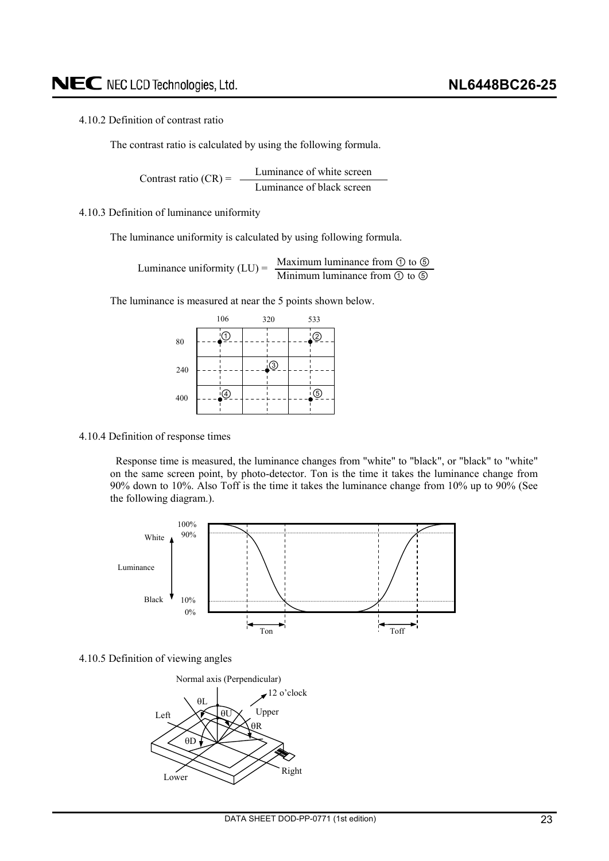### <span id="page-22-0"></span>4.10.2 Definition of contrast ratio

The contrast ratio is calculated by using the following formula.

Luminance of white screen Luminance of black screen Contrast ratio  $(CR)$  =

### 4.10.3 Definition of luminance uniformity

The luminance uniformity is calculated by using following formula.

Maximum luminance from  $\odot$  to  $\odot$ Luminance uniformity  $(LU) = \frac{Maxm and Taxm}{\text{Minimum luminance from } \mathcal{D} \text{ to } \mathcal{D}}$ 

The luminance is measured at near the 5 points shown below.

|     | 106 | 320            | 533       |
|-----|-----|----------------|-----------|
| 80  | ٠1, |                | ②         |
| 240 |     | $\ddot{\odot}$ |           |
| 400 | (4) |                | <u>ිල</u> |

#### 4.10.4 Definition of response times

Response time is measured, the luminance changes from "white" to "black", or "black" to "white" on the same screen point, by photo-detector. Ton is the time it takes the luminance change from 90% down to 10%. Also Toff is the time it takes the luminance change from 10% up to 90% (See the following diagram.).



#### 4.10.5 Definition of viewing angles

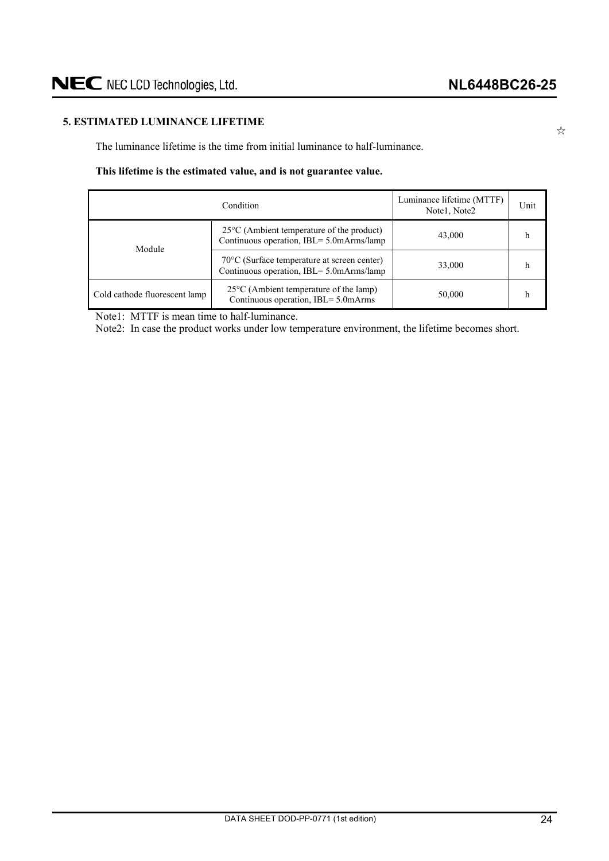### <span id="page-23-0"></span>**5. ESTIMATED LUMINANCE LIFETIME**

The luminance lifetime is the time from initial luminance to half-luminance.

### **This lifetime is the estimated value, and is not guarantee value.**

| Condition                     |                                                                                                   | Luminance lifetime (MTTF)<br>Notel, Note2 | Unit |
|-------------------------------|---------------------------------------------------------------------------------------------------|-------------------------------------------|------|
| Module                        | $25^{\circ}$ C (Ambient temperature of the product)<br>Continuous operation, IBL= 5.0mArms/lamp   | 43,000                                    |      |
|                               | $70^{\circ}$ C (Surface temperature at screen center)<br>Continuous operation, IBL= 5.0mArms/lamp | 33,000                                    | h    |
| Cold cathode fluorescent lamp | $25^{\circ}$ C (Ambient temperature of the lamp)<br>Continuous operation, IBL= 5.0mArms           | 50,000                                    |      |

Note1: MTTF is mean time to half-luminance.

Note2: In case the product works under low temperature environment, the lifetime becomes short.

 $z^{\prime\prime}$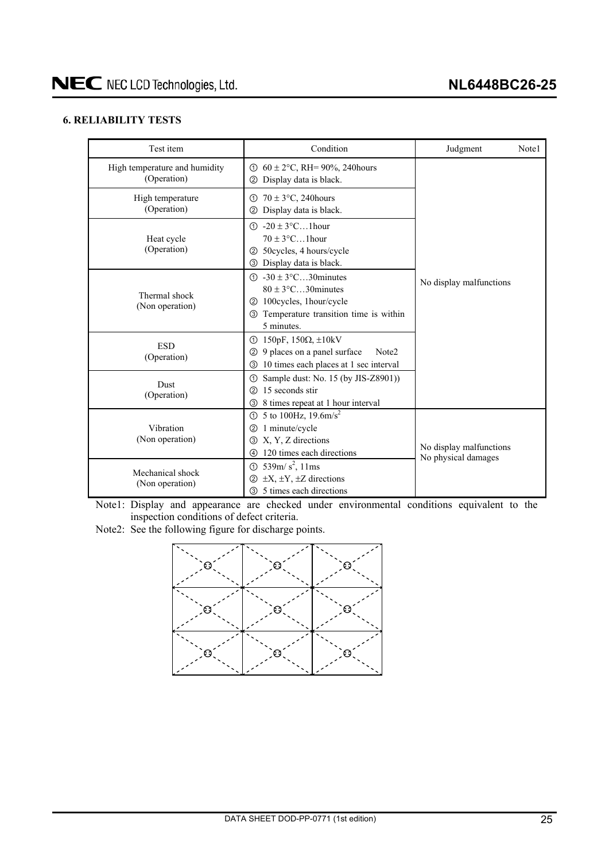### <span id="page-24-0"></span>**6. RELIABILITY TESTS**

| Test item                                    | Condition                                                                                                                                                       | Judgment                                       | Note1 |
|----------------------------------------------|-----------------------------------------------------------------------------------------------------------------------------------------------------------------|------------------------------------------------|-------|
| High temperature and humidity<br>(Operation) | ① $60 \pm 2$ °C, RH= 90%, 240 hours<br>Display data is black.<br>(2)                                                                                            |                                                |       |
| High temperature<br>(Operation)              | $70 \pm 3$ °C, 240 hours<br>ന<br>Display data is black.<br>(2)                                                                                                  |                                                |       |
| Heat cycle<br>(Operation)                    | $(1) -20 \pm 3$ °C1 hour<br>$70 \pm 3$ °C1hour<br>50 cycles, 4 hours/cycle<br>(2)<br>3 Display data is black.                                                   |                                                |       |
| Thermal shock<br>(Non operation)             | $\textcircled{1}$ -30 ± 3°C30 minutes<br>$80 \pm 3$ °C30 minutes<br>100cycles, 1hour/cycle<br>(2)<br>Temperature transition time is within<br>(3)<br>5 minutes. | No display malfunctions                        |       |
| <b>ESD</b><br>(Operation)                    | 150pF, 150 $\Omega$ , $\pm$ 10kV<br>①<br>9 places on a panel surface<br>Note <sub>2</sub><br>(2)<br>10 times each places at 1 sec interval<br>③                 |                                                |       |
| <b>Dust</b><br>(Operation)                   | Sample dust: No. 15 (by JIS-Z8901))<br>➀<br>15 seconds stir<br>(2)<br>8 times repeat at 1 hour interval<br>③                                                    |                                                |       |
| Vibration<br>(Non operation)                 | 5 to 100Hz, $19.6 \text{m/s}^2$<br>$\odot$<br>1 minute/cycle<br>(2)<br>X, Y, Z directions<br>3<br>120 times each directions<br>$\circled{4}$                    | No display malfunctions<br>No physical damages |       |
| Mechanical shock<br>(Non operation)          | ① 539m/ $s^2$ , 11ms<br>$\pm X$ , $\pm Y$ , $\pm Z$ directions<br>(2)<br>5 times each directions<br>3                                                           |                                                |       |

Note1: Display and appearance are checked under environmental conditions equivalent to the inspection conditions of defect criteria.

Note2: See the following figure for discharge points.

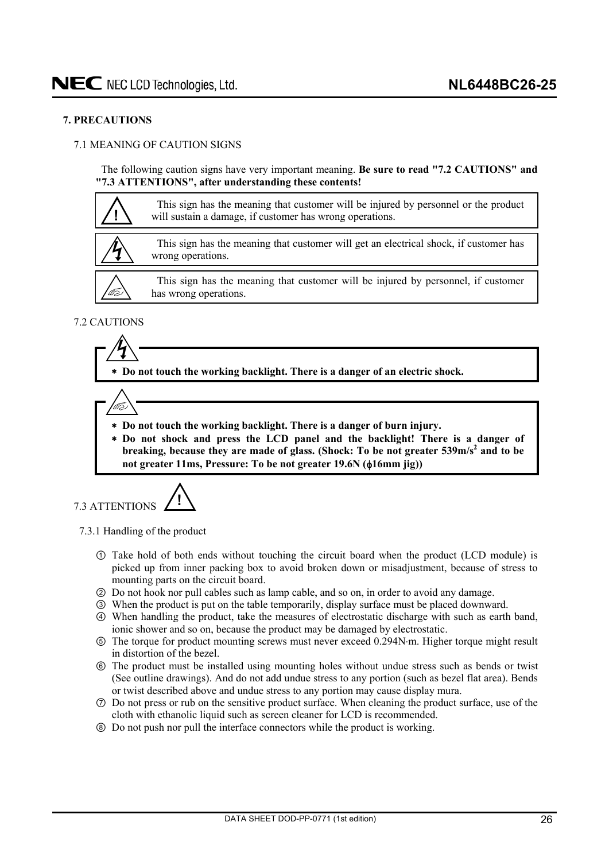### <span id="page-25-0"></span>**7. PRECAUTIONS**

### 7.1 MEANING OF CAUTION SIGNS

The following caution signs have very important meaning. **Be sure to read "7.2 CAUTIONS" and "7.3 ATTENTIONS", after understanding these contents!** 



### 7.2 CAUTIONS

 **Do not touch the working backlight. There is a danger of an electric shock.** 



- **Do not touch the working backlight. There is a danger of burn injury.**
- **Do not shock and press the LCD panel and the backlight! There is a danger of**  breaking, because they are made of glass. (Shock: To be not greater 539m/s<sup>2</sup> and to be not greater 11ms, Pressure: To be not greater 19.6N ( $\phi$ 16mm jig))

7.3 ATTENTIONS **!**

7.3.1 Handling of the product

- Take hold of both ends without touching the circuit board when the product (LCD module) is picked up from inner packing box to avoid broken down or misadjustment, because of stress to mounting parts on the circuit board.
- ཱ Do not hook nor pull cables such as lamp cable, and so on, in order to avoid any damage.
- ི When the product is put on the table temporarily, display surface must be placed downward.
- ཱི When handling the product, take the measures of electrostatic discharge with such as earth band, ionic shower and so on, because the product may be damaged by electrostatic.
- ུ The torque for product mounting screws must never exceed 0.294Nm. Higher torque might result in distortion of the bezel.
- ཱུ The product must be installed using mounting holes without undue stress such as bends or twist (See outline drawings). And do not add undue stress to any portion (such as bezel flat area). Bends or twist described above and undue stress to any portion may cause display mura.
- ྲྀ Do not press or rub on the sensitive product surface. When cleaning the product surface, use of the cloth with ethanolic liquid such as screen cleaner for LCD is recommended.
- ཷ Do not push nor pull the interface connectors while the product is working.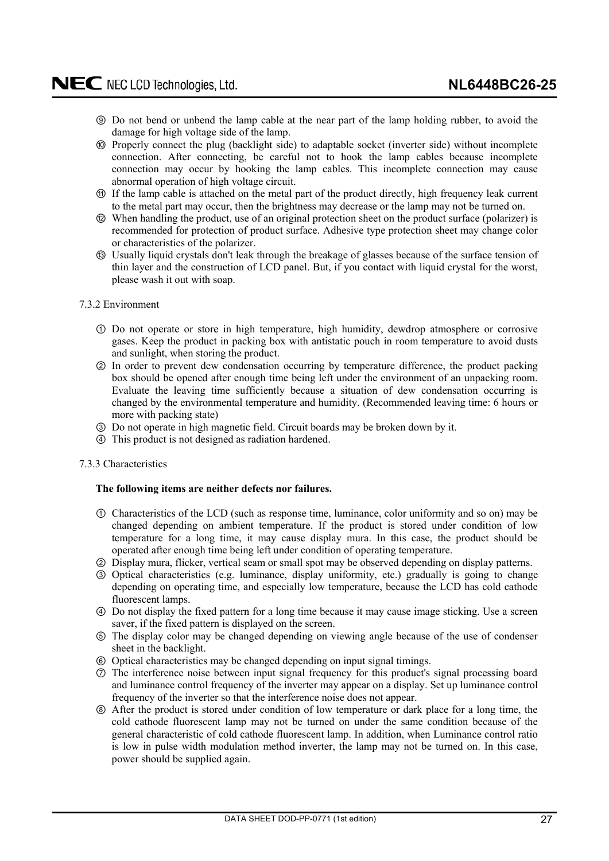- <span id="page-26-0"></span>ླྀ Do not bend or unbend the lamp cable at the near part of the lamp holding rubber, to avoid the damage for high voltage side of the lamp.
- ཹ Properly connect the plug (backlight side) to adaptable socket (inverter side) without incomplete connection. After connecting, be careful not to hook the lamp cables because incomplete connection may occur by hooking the lamp cables. This incomplete connection may cause abnormal operation of high voltage circuit.
- ེ If the lamp cable is attached on the metal part of the product directly, high frequency leak current to the metal part may occur, then the brightness may decrease or the lamp may not be turned on.
- ཻ When handling the product, use of an original protection sheet on the product surface (polarizer) is recommended for protection of product surface. Adhesive type protection sheet may change color or characteristics of the polarizer.
- ོ Usually liquid crystals don't leak through the breakage of glasses because of the surface tension of thin layer and the construction of LCD panel. But, if you contact with liquid crystal for the worst, please wash it out with soap.

### 7.3.2 Environment

- Do not operate or store in high temperature, high humidity, dewdrop atmosphere or corrosive gases. Keep the product in packing box with antistatic pouch in room temperature to avoid dusts and sunlight, when storing the product.
- ཱ In order to prevent dew condensation occurring by temperature difference, the product packing box should be opened after enough time being left under the environment of an unpacking room. Evaluate the leaving time sufficiently because a situation of dew condensation occurring is changed by the environmental temperature and humidity. (Recommended leaving time: 6 hours or more with packing state)
- ི Do not operate in high magnetic field. Circuit boards may be broken down by it.
- ཱི This product is not designed as radiation hardened.

### 7.3.3 Characteristics

### **The following items are neither defects nor failures.**

- Characteristics of the LCD (such as response time, luminance, color uniformity and so on) may be changed depending on ambient temperature. If the product is stored under condition of low temperature for a long time, it may cause display mura. In this case, the product should be operated after enough time being left under condition of operating temperature.
- ཱ Display mura, flicker, vertical seam or small spot may be observed depending on display patterns.
- ི Optical characteristics (e.g. luminance, display uniformity, etc.) gradually is going to change depending on operating time, and especially low temperature, because the LCD has cold cathode fluorescent lamps.
- ཱི Do not display the fixed pattern for a long time because it may cause image sticking. Use a screen saver, if the fixed pattern is displayed on the screen.
- ུ The display color may be changed depending on viewing angle because of the use of condenser sheet in the backlight.
- ཱུ Optical characteristics may be changed depending on input signal timings.
- ྲྀ The interference noise between input signal frequency for this product's signal processing board and luminance control frequency of the inverter may appear on a display. Set up luminance control frequency of the inverter so that the interference noise does not appear.
- ཷ After the product is stored under condition of low temperature or dark place for a long time, the cold cathode fluorescent lamp may not be turned on under the same condition because of the general characteristic of cold cathode fluorescent lamp. In addition, when Luminance control ratio is low in pulse width modulation method inverter, the lamp may not be turned on. In this case, power should be supplied again.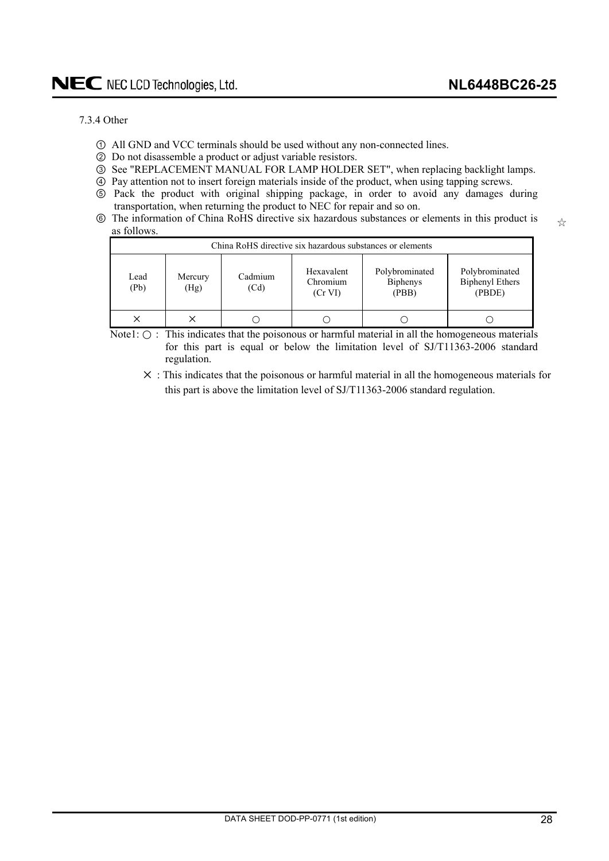$z^4$ 

### <span id="page-27-0"></span>7.3.4 Other

- All GND and VCC terminals should be used without any non-connected lines.
- ཱ Do not disassemble a product or adjust variable resistors.
- ི See "REPLACEMENT MANUAL FOR LAMP HOLDER SET", when replacing backlight lamps.
- ཱི Pay attention not to insert foreign materials inside of the product, when using tapping screws.
- ུ Pack the product with original shipping package, in order to avoid any damages during transportation, when returning the product to NEC for repair and so on.
- ཱུ The information of China RoHS directive six hazardous substances or elements in this product is as follows.

| China RoHS directive six hazardous substances or elements |                 |                 |                                   |                                            |                                                    |  |
|-----------------------------------------------------------|-----------------|-----------------|-----------------------------------|--------------------------------------------|----------------------------------------------------|--|
| Lead<br>(Pb)                                              | Mercury<br>(Hg) | Cadmium<br>(Cd) | Hexavalent<br>Chromium<br>(Cr VI) | Polybrominated<br><b>Biphenys</b><br>(PBB) | Polybrominated<br><b>Biphenyl Ethers</b><br>(PBDE) |  |
|                                                           |                 |                 |                                   |                                            |                                                    |  |

Note1:  $\bigcirc$ : This indicates that the poisonous or harmful material in all the homogeneous materials for this part is equal or below the limitation level of SJ/T11363-2006 standard regulation.

 $\times$  : This indicates that the poisonous or harmful material in all the homogeneous materials for this part is above the limitation level of SJ/T11363-2006 standard regulation.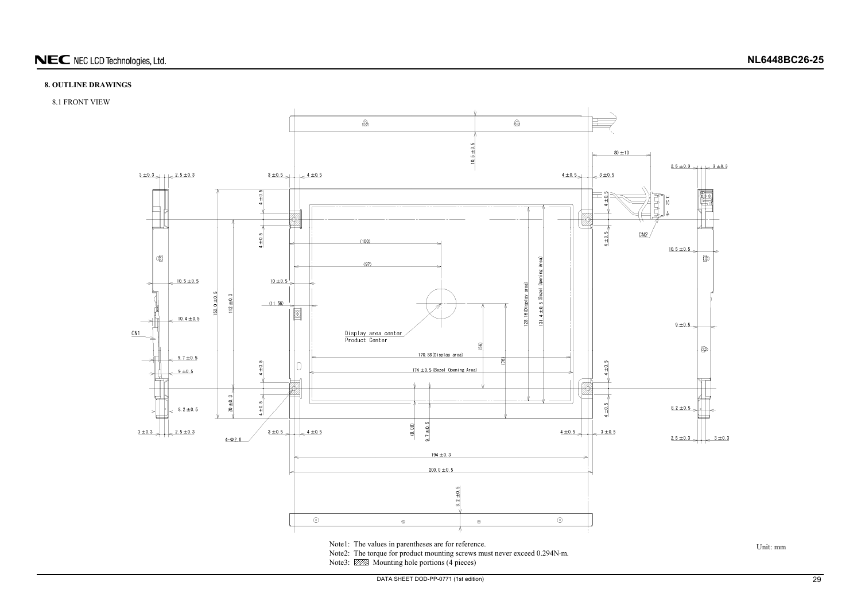

## NEC NEC LCD Technologies, Ltd.

### **8. OUTLINE DRAWINGS**

### 8.1 FRONT VIEW



<span id="page-28-0"></span>Note3: **WAS** Mounting hole portions (4 pieces)